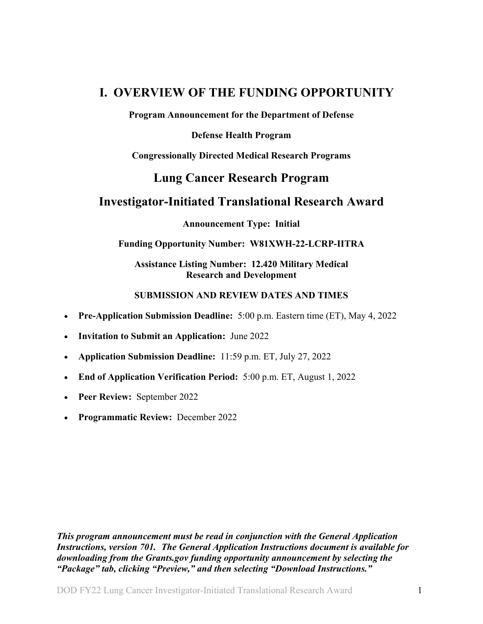## <span id="page-0-0"></span>**I. OVERVIEW OF THE FUNDING OPPORTUNITY**

**Program Announcement for the Department of Defense**

#### **Defense Health Program**

**Congressionally Directed Medical Research Programs**

## **Lung Cancer Research Program**

## **Investigator-Initiated Translational Research Award**

**Announcement Type: Initial**

#### **Funding Opportunity Number: W81XWH-22-LCRP-IITRA**

**Assistance Listing Number: 12.420 Military Medical Research and Development**

#### **SUBMISSION AND REVIEW DATES AND TIMES**

- <span id="page-0-1"></span>• **Pre-Application Submission Deadline:** 5:00 p.m. Eastern time (ET), May 4, 2022
- **Invitation to Submit an Application:** June 2022
- **Application Submission Deadline:** 11:59 p.m. ET, July 27, 2022
- **End of Application Verification Period:** 5:00 p.m. ET, August 1, 2022
- **Peer Review:** September 2022
- **Programmatic Review:** December 2022

*This program announcement must be read in conjunction with the General Application Instructions, version 701.**The General Application Instructions document is available for downloading from the Grants.gov funding opportunity announcement by selecting the "Package" tab, clicking "Preview," and then selecting "Download Instructions."*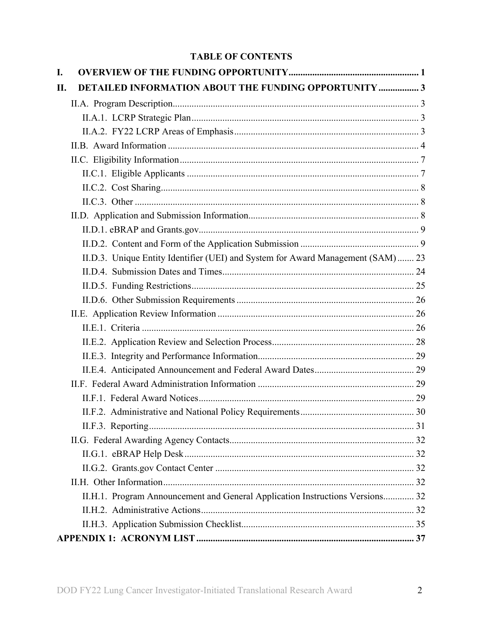## **TABLE OF CONTENTS**

| I.  |                                                                                  |  |
|-----|----------------------------------------------------------------------------------|--|
| II. | <b>DETAILED INFORMATION ABOUT THE FUNDING OPPORTUNITY  3</b>                     |  |
|     |                                                                                  |  |
|     |                                                                                  |  |
|     |                                                                                  |  |
|     |                                                                                  |  |
|     |                                                                                  |  |
|     |                                                                                  |  |
|     |                                                                                  |  |
|     |                                                                                  |  |
|     |                                                                                  |  |
|     |                                                                                  |  |
|     |                                                                                  |  |
|     | II.D.3. Unique Entity Identifier (UEI) and System for Award Management (SAM)  23 |  |
|     |                                                                                  |  |
|     |                                                                                  |  |
|     |                                                                                  |  |
|     |                                                                                  |  |
|     |                                                                                  |  |
|     |                                                                                  |  |
|     |                                                                                  |  |
|     |                                                                                  |  |
|     |                                                                                  |  |
|     |                                                                                  |  |
|     |                                                                                  |  |
|     |                                                                                  |  |
|     |                                                                                  |  |
|     |                                                                                  |  |
|     |                                                                                  |  |
|     |                                                                                  |  |
|     | II.H.1. Program Announcement and General Application Instructions Versions 32    |  |
|     |                                                                                  |  |
|     |                                                                                  |  |
|     |                                                                                  |  |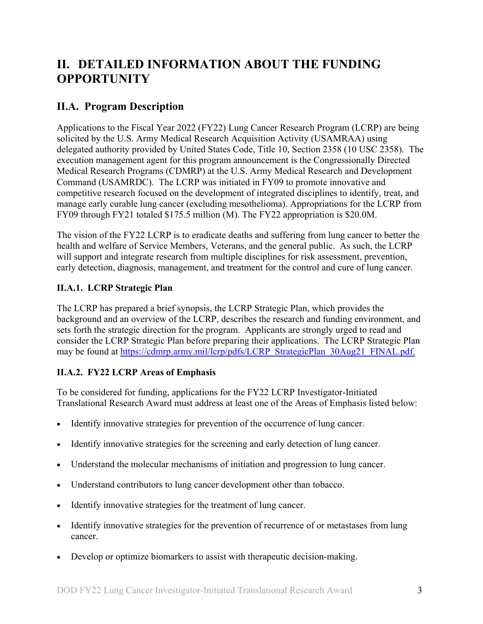# <span id="page-2-0"></span>**II. DETAILED INFORMATION ABOUT THE FUNDING OPPORTUNITY**

## <span id="page-2-1"></span>**II.A. Program Description**

Applications to the Fiscal Year 2022 (FY22) Lung Cancer Research Program (LCRP) are being solicited by the U.S. Army Medical Research Acquisition Activity (USAMRAA) using delegated authority provided by United States Code, Title 10, Section 2358 (10 USC 2358). The execution management agent for this program announcement is the Congressionally Directed Medical Research Programs (CDMRP) at the U.S. Army Medical Research and Development Command (USAMRDC). The LCRP was initiated in FY09 to promote innovative and competitive research focused on the development of integrated disciplines to identify, treat, and manage early curable lung cancer (excluding mesothelioma). Appropriations for the LCRP from FY09 through FY21 totaled \$175.5 million (M). The FY22 appropriation is \$20.0M.

The vision of the FY22 LCRP is to eradicate deaths and suffering from lung cancer to better the health and welfare of Service Members, Veterans, and the general public. As such, the LCRP will support and integrate research from multiple disciplines for risk assessment, prevention, early detection, diagnosis, management, and treatment for the control and cure of lung cancer.

## <span id="page-2-2"></span>**II.A.1. LCRP Strategic Plan**

The LCRP has prepared a brief synopsis, the LCRP Strategic Plan, which provides the background and an overview of the LCRP, describes the research and funding environment, and sets forth the strategic direction for the program. Applicants are strongly urged to read and consider the LCRP Strategic Plan before preparing their applications. The LCRP Strategic Plan may be found at [https://cdmrp.army.mil/lcrp/pdfs/LCRP\\_StrategicPlan\\_30Aug21\\_FINAL.pdf.](https://cdmrp.army.mil/lcrp/pdfs/LCRP_StrategicPlan_30Aug21_FINAL.pdf)

## <span id="page-2-3"></span>**II.A.2. FY22 LCRP Areas of Emphasis**

To be considered for funding, applications for the FY22 LCRP Investigator-Initiated Translational Research Award must address at least one of the Areas of Emphasis listed below:

- Identify innovative strategies for prevention of the occurrence of lung cancer.
- Identify innovative strategies for the screening and early detection of lung cancer.
- Understand the molecular mechanisms of initiation and progression to lung cancer.
- Understand contributors to lung cancer development other than tobacco.
- Identify innovative strategies for the treatment of lung cancer.
- Identify innovative strategies for the prevention of recurrence of or metastases from lung cancer.
- Develop or optimize biomarkers to assist with therapeutic decision-making.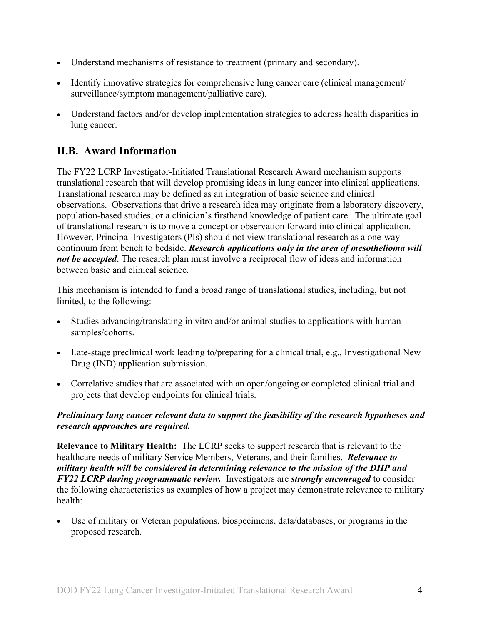- Understand mechanisms of resistance to treatment (primary and secondary).
- Identify innovative strategies for comprehensive lung cancer care (clinical management/ surveillance/symptom management/palliative care).
- Understand factors and/or develop implementation strategies to address health disparities in lung cancer.

## <span id="page-3-0"></span>**II.B. Award Information**

The FY22 LCRP Investigator-Initiated Translational Research Award mechanism supports translational research that will develop promising ideas in lung cancer into clinical applications. Translational research may be defined as an integration of basic science and clinical observations. Observations that drive a research idea may originate from a laboratory discovery, population-based studies, or a clinician's firsthand knowledge of patient care. The ultimate goal of translational research is to move a concept or observation forward into clinical application. However, Principal Investigators (PIs) should not view translational research as a one-way continuum from bench to bedside. *Research applications only in the area of mesothelioma will not be accepted*. The research plan must involve a reciprocal flow of ideas and information between basic and clinical science.

This mechanism is intended to fund a broad range of translational studies, including, but not limited, to the following:

- Studies advancing/translating in vitro and/or animal studies to applications with human samples/cohorts.
- Late-stage preclinical work leading to/preparing for a clinical trial, e.g., Investigational New Drug (IND) application submission.
- Correlative studies that are associated with an open/ongoing or completed clinical trial and projects that develop endpoints for clinical trials.

#### *Preliminary lung cancer relevant data to support the feasibility of the research hypotheses and research approaches are required.*

**Relevance to Military Health:** The LCRP seeks to support research that is relevant to the healthcare needs of military Service Members, Veterans, and their families. *Relevance to military health will be considered in determining relevance to the mission of the DHP and FY22 LCRP during programmatic review.* Investigators are *strongly encouraged* to consider the following characteristics as examples of how a project may demonstrate relevance to military health:

• Use of military or Veteran populations, biospecimens, data/databases, or programs in the proposed research.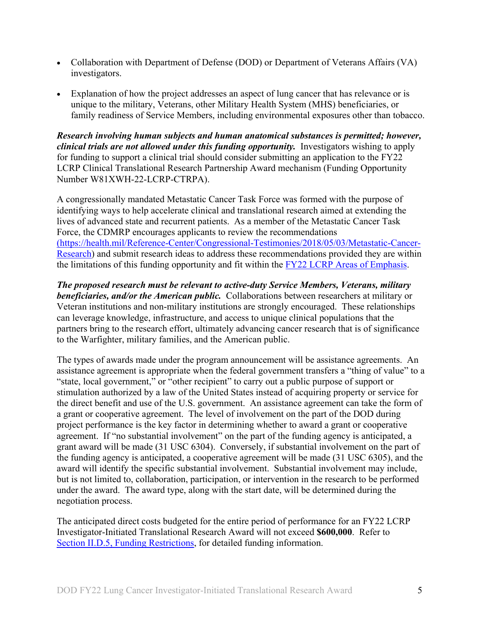- Collaboration with Department of Defense (DOD) or Department of Veterans Affairs (VA) investigators.
- Explanation of how the project addresses an aspect of lung cancer that has relevance or is unique to the military, Veterans, other Military Health System (MHS) beneficiaries, or family readiness of Service Members, including environmental exposures other than tobacco.

*Research involving human subjects and human anatomical substances is permitted; however, clinical trials are not allowed under this funding opportunity.* Investigators wishing to apply for funding to support a clinical trial should consider submitting an application to the FY22 LCRP Clinical Translational Research Partnership Award mechanism (Funding Opportunity Number W81XWH-22-LCRP-CTRPA).

A congressionally mandated Metastatic Cancer Task Force was formed with the purpose of identifying ways to help accelerate clinical and translational research aimed at extending the lives of advanced state and recurrent patients. As a member of the Metastatic Cancer Task Force, the CDMRP encourages applicants to review the recommendations [\(https://health.mil/Reference-Center/Congressional-Testimonies/2018/05/03/Metastatic-Cancer-](https://www.health.mil/Reference-Center/Congressional-Testimonies?refVector=001000000000000&refSrc=130)[Research\)](https://www.health.mil/Reference-Center/Congressional-Testimonies?refVector=001000000000000&refSrc=130) and submit research ideas to address these recommendations provided they are within the limitations of this funding opportunity and fit within the [FY22 LCRP Areas of Emphasis.](#page-2-3)

*The proposed research must be relevant to active-duty Service Members, Veterans, military beneficiaries, and/or the American public.* Collaborations between researchers at military or Veteran institutions and non-military institutions are strongly encouraged. These relationships can leverage knowledge, infrastructure, and access to unique clinical populations that the partners bring to the research effort, ultimately advancing cancer research that is of significance to the Warfighter, military families, and the American public.

The types of awards made under the program announcement will be assistance agreements. An assistance agreement is appropriate when the federal government transfers a "thing of value" to a "state, local government," or "other recipient" to carry out a public purpose of support or stimulation authorized by a law of the United States instead of acquiring property or service for the direct benefit and use of the U.S. government. An assistance agreement can take the form of a grant or cooperative agreement. The level of involvement on the part of the DOD during project performance is the key factor in determining whether to award a grant or cooperative agreement. If "no substantial involvement" on the part of the funding agency is anticipated, a grant award will be made (31 USC 6304). Conversely, if substantial involvement on the part of the funding agency is anticipated, a cooperative agreement will be made (31 USC 6305), and the award will identify the specific substantial involvement. Substantial involvement may include, but is not limited to, collaboration, participation, or intervention in the research to be performed under the award. The award type, along with the start date, will be determined during the negotiation process.

The anticipated direct costs budgeted for the entire period of performance for an FY22 LCRP Investigator-Initiated Translational Research Award will not exceed **\$600,000**. Refer to Section [II.D.5, Funding Restrictions,](#page-24-0) for detailed funding information.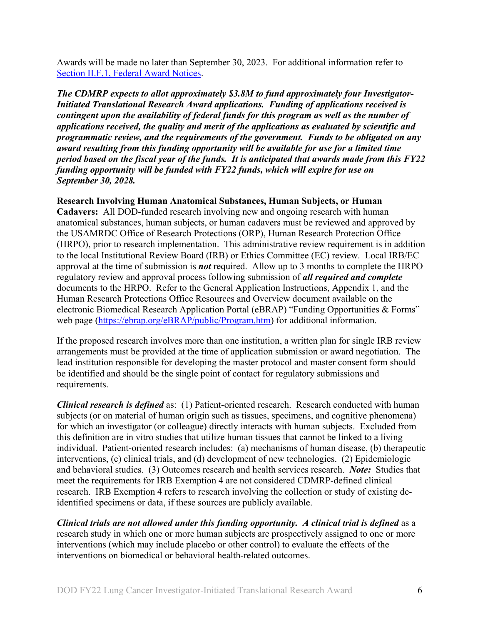Awards will be made no later than September 30, 2023. For additional information refer to [Section II.F.1, Federal Award Notices.](#page-28-3)

*The CDMRP expects to allot approximately \$3.8M to fund approximately four Investigator-Initiated Translational Research Award applications. Funding of applications received is contingent upon the availability of federal funds for this program as well as the number of applications received, the quality and merit of the applications as evaluated by scientific and programmatic review, and the requirements of the government. Funds to be obligated on any award resulting from this funding opportunity will be available for use for a limited time period based on the fiscal year of the funds. It is anticipated that awards made from this FY22 funding opportunity will be funded with FY22 funds, which will expire for use on September 30, 2028.*

#### **Research Involving Human Anatomical Substances, Human Subjects, or Human**

**Cadavers:** All DOD-funded research involving new and ongoing research with human anatomical substances, human subjects, or human cadavers must be reviewed and approved by the USAMRDC Office of Research Protections (ORP), Human Research Protection Office (HRPO), prior to research implementation. This administrative review requirement is in addition to the local Institutional Review Board (IRB) or Ethics Committee (EC) review. Local IRB/EC approval at the time of submission is *not* required. Allow up to 3 months to complete the HRPO regulatory review and approval process following submission of *all required and complete* documents to the HRPO. Refer to the General Application Instructions, Appendix 1, and the Human Research Protections Office Resources and Overview document available on the electronic Biomedical Research Application Portal (eBRAP) "Funding Opportunities & Forms" web page [\(https://ebrap.org/eBRAP/public/Program.htm\)](https://ebrap.org/eBRAP/public/Program.htm) for additional information.

If the proposed research involves more than one institution, a written plan for single IRB review arrangements must be provided at the time of application submission or award negotiation. The lead institution responsible for developing the master protocol and master consent form should be identified and should be the single point of contact for regulatory submissions and requirements.

*Clinical research is defined* as: (1) Patient-oriented research. Research conducted with human subjects (or on material of human origin such as tissues, specimens, and cognitive phenomena) for which an investigator (or colleague) directly interacts with human subjects. Excluded from this definition are in vitro studies that utilize human tissues that cannot be linked to a living individual. Patient-oriented research includes: (a) mechanisms of human disease, (b) therapeutic interventions, (c) clinical trials, and (d) development of new technologies. (2) Epidemiologic and behavioral studies. (3) Outcomes research and health services research. *Note:* Studies that meet the requirements for IRB Exemption 4 are not considered CDMRP-defined clinical research. IRB Exemption 4 refers to research involving the collection or study of existing deidentified specimens or data, if these sources are publicly available.

*Clinical trials are not allowed under this funding opportunity. A clinical trial is defined* as a research study in which one or more human subjects are prospectively assigned to one or more interventions (which may include placebo or other control) to evaluate the effects of the interventions on biomedical or behavioral health-related outcomes.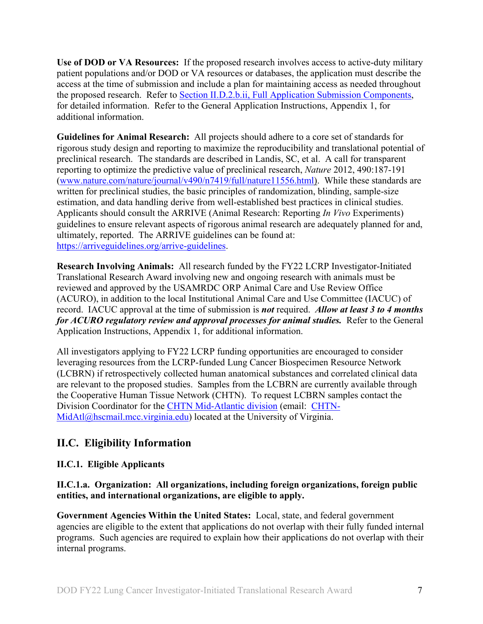**Use of DOD or VA Resources:** If the proposed research involves access to active-duty military patient populations and/or DOD or VA resources or databases, the application must describe the access at the time of submission and include a plan for maintaining access as needed throughout the proposed research. Refer to Section [II.D.2.b.ii, Full Application Submission Components,](#page-15-0) for detailed information. Refer to the General Application Instructions, Appendix 1, for additional information.

**Guidelines for Animal Research:** All projects should adhere to a core set of standards for rigorous study design and reporting to maximize the reproducibility and translational potential of preclinical research. The standards are described in Landis, SC, et al. A call for transparent reporting to optimize the predictive value of preclinical research, *Nature* 2012, 490:187-191 [\(www.nature.com/nature/journal/v490/n7419/full/nature11556.html\)](http://www.nature.com/nature/journal/v490/n7419/full/nature11556.html). While these standards are written for preclinical studies, the basic principles of randomization, blinding, sample-size estimation, and data handling derive from well-established best practices in clinical studies. Applicants should consult the ARRIVE (Animal Research: Reporting *In Vivo* Experiments) guidelines to ensure relevant aspects of rigorous animal research are adequately planned for and, ultimately, reported. The ARRIVE guidelines can be found at: [https://arriveguidelines.org/arrive-guidelines.](https://arriveguidelines.org/arrive-guidelines)

**Research Involving Animals:** All research funded by the FY22 LCRP Investigator-Initiated Translational Research Award involving new and ongoing research with animals must be reviewed and approved by the USAMRDC ORP Animal Care and Use Review Office (ACURO), in addition to the local Institutional Animal Care and Use Committee (IACUC) of record. IACUC approval at the time of submission is *not* required. *Allow at least 3 to 4 months for ACURO regulatory review and approval processes for animal studies.* Refer to the General Application Instructions, Appendix 1, for additional information.

All investigators applying to FY22 LCRP funding opportunities are encouraged to consider leveraging resources from the LCRP-funded Lung Cancer Biospecimen Resource Network (LCBRN) if retrospectively collected human anatomical substances and correlated clinical data are relevant to the proposed studies. Samples from the LCBRN are currently available through the Cooperative Human Tissue Network (CHTN). To request LCBRN samples contact the Division Coordinator for the [CHTN Mid-Atlantic division](https://www.chtn.org/about/divisions.html) (email: [CHTN-](mailto:CHTN-MidAtl@hscmail.mcc.virginia.edu)[MidAtl@hscmail.mcc.virginia.edu\)](mailto:CHTN-MidAtl@hscmail.mcc.virginia.edu) located at the University of Virginia.

## <span id="page-6-0"></span>**II.C. Eligibility Information**

## <span id="page-6-1"></span>**II.C.1. Eligible Applicants**

#### **II.C.1.a. Organization: All organizations, including foreign organizations, foreign public entities, and international organizations, are eligible to apply.**

**Government Agencies Within the United States:** Local, state, and federal government agencies are eligible to the extent that applications do not overlap with their fully funded internal programs. Such agencies are required to explain how their applications do not overlap with their internal programs.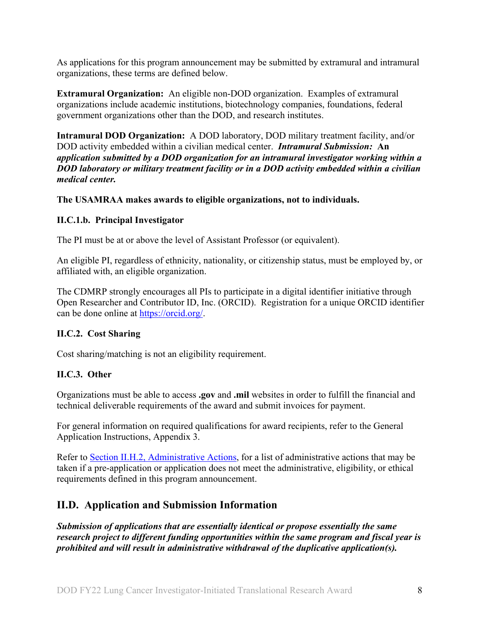As applications for this program announcement may be submitted by extramural and intramural organizations, these terms are defined below.

**Extramural Organization:** An eligible non-DOD organization. Examples of extramural organizations include academic institutions, biotechnology companies, foundations, federal government organizations other than the DOD, and research institutes.

**Intramural DOD Organization:** A DOD laboratory, DOD military treatment facility, and/or DOD activity embedded within a civilian medical center. *Intramural Submission:* **An**  *application submitted by a DOD organization for an intramural investigator working within a DOD laboratory or military treatment facility or in a DOD activity embedded within a civilian medical center.*

**The USAMRAA makes awards to eligible organizations, not to individuals.**

#### **II.C.1.b. Principal Investigator**

The PI must be at or above the level of Assistant Professor (or equivalent).

An eligible PI, regardless of ethnicity, nationality, or citizenship status, must be employed by, or affiliated with, an eligible organization.

The CDMRP strongly encourages all PIs to participate in a digital identifier initiative through Open Researcher and Contributor ID, Inc. (ORCID). Registration for a unique ORCID identifier can be done online at [https://orcid.org/.](https://orcid.org/)

#### <span id="page-7-0"></span>**II.C.2. Cost Sharing**

Cost sharing/matching is not an eligibility requirement.

#### <span id="page-7-1"></span>**II.C.3. Other**

Organizations must be able to access **.gov** and **.mil** websites in order to fulfill the financial and technical deliverable requirements of the award and submit invoices for payment.

For general information on required qualifications for award recipients, refer to the General Application Instructions, Appendix 3.

Refer to [Section II.H.2, Administrative Actions,](#page-31-5) for a list of administrative actions that may be taken if a pre-application or application does not meet the administrative, eligibility, or ethical requirements defined in this program announcement.

## <span id="page-7-2"></span>**II.D. Application and Submission Information**

*Submission of applications that are essentially identical or propose essentially the same research project to different funding opportunities within the same program and fiscal year is prohibited and will result in administrative withdrawal of the duplicative application(s).*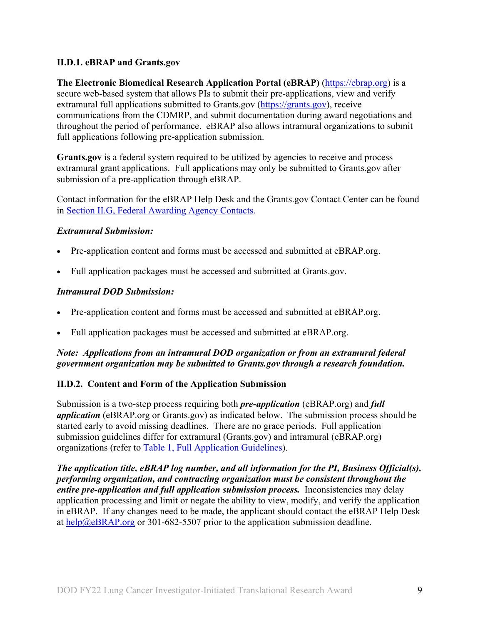#### <span id="page-8-0"></span>**II.D.1. eBRAP and Grants.gov**

**The Electronic Biomedical Research Application Portal (eBRAP)** [\(https://ebrap.org\)](https://ebrap.org/) is a secure web-based system that allows PIs to submit their pre-applications, view and verify extramural full applications submitted to Grants.gov [\(https://grants.gov\)](https://grants.gov/), receive communications from the CDMRP, and submit documentation during award negotiations and throughout the period of performance. eBRAP also allows intramural organizations to submit full applications following pre-application submission.

**Grants.gov** is a federal system required to be utilized by agencies to receive and process extramural grant applications. Full applications may only be submitted to Grants.gov after submission of a pre-application through eBRAP.

Contact information for the eBRAP Help Desk and the Grants.gov Contact Center can be found in [Section II.G, Federal Awarding Agency Contacts.](#page-31-0)

#### *Extramural Submission:*

- Pre-application content and forms must be accessed and submitted at eBRAP.org.
- Full application packages must be accessed and submitted at Grants.gov.

#### *Intramural DOD Submission:*

- Pre-application content and forms must be accessed and submitted at eBRAP.org.
- Full application packages must be accessed and submitted at eBRAP.org.

#### *Note: Applications from an intramural DOD organization or from an extramural federal government organization may be submitted to Grants.gov through a research foundation.*

#### <span id="page-8-1"></span>**II.D.2. Content and Form of the Application Submission**

Submission is a two-step process requiring both *pre-application* (eBRAP.org) and *full application* (eBRAP.org or Grants.gov) as indicated below. The submission process should be started early to avoid missing deadlines. There are no grace periods. Full application submission guidelines differ for extramural (Grants.gov) and intramural (eBRAP.org) organizations (refer to [Table 1, Full Application Guidelines\)](#page-13-0).

*The application title, eBRAP log number, and all information for the PI, Business Official(s), performing organization, and contracting organization must be consistent throughout the entire pre-application and full application submission process.* Inconsistencies may delay application processing and limit or negate the ability to view, modify, and verify the application in eBRAP. If any changes need to be made, the applicant should contact the eBRAP Help Desk at [help@eBRAP.org](mailto:help@eBRAP.org) or 301-682-5507 prior to the application submission deadline.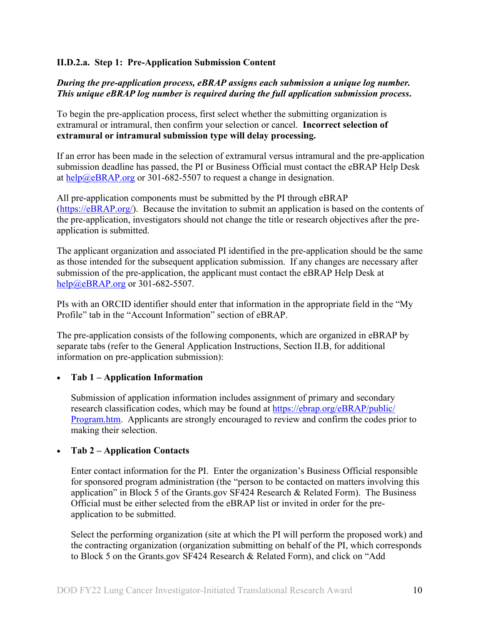#### **II.D.2.a. Step 1: Pre-Application Submission Content**

#### *During the pre-application process, eBRAP assigns each submission a unique log number. This unique eBRAP log number is required during the full application submission process***.**

To begin the pre-application process, first select whether the submitting organization is extramural or intramural, then confirm your selection or cancel. **Incorrect selection of extramural or intramural submission type will delay processing.**

If an error has been made in the selection of extramural versus intramural and the pre-application submission deadline has passed, the PI or Business Official must contact the eBRAP Help Desk at  $\frac{help@eBRAP.org}{$  or 301-682-5507 to request a change in designation.

All pre-application components must be submitted by the PI through eBRAP [\(https://eBRAP.org/\)](https://ebrap.org/). Because the invitation to submit an application is based on the contents of the pre-application, investigators should not change the title or research objectives after the preapplication is submitted.

The applicant organization and associated PI identified in the pre-application should be the same as those intended for the subsequent application submission. If any changes are necessary after submission of the pre-application, the applicant must contact the eBRAP Help Desk at [help@eBRAP.org](mailto:help@eBRAP.org) or 301-682-5507.

PIs with an ORCID identifier should enter that information in the appropriate field in the "My Profile" tab in the "Account Information" section of eBRAP.

The pre-application consists of the following components, which are organized in eBRAP by separate tabs (refer to the General Application Instructions, Section II.B, for additional information on pre-application submission):

#### • **Tab 1 – Application Information**

Submission of application information includes assignment of primary and secondary research classification codes, which may be found at [https://ebrap.org/eBRAP/public/](https://ebrap.org/eBRAP/public/Program.htm) [Program.htm.](https://ebrap.org/eBRAP/public/Program.htm) Applicants are strongly encouraged to review and confirm the codes prior to making their selection.

#### • **Tab 2 – Application Contacts**

Enter contact information for the PI. Enter the organization's Business Official responsible for sponsored program administration (the "person to be contacted on matters involving this application" in Block 5 of the Grants.gov SF424 Research & Related Form). The Business Official must be either selected from the eBRAP list or invited in order for the preapplication to be submitted.

Select the performing organization (site at which the PI will perform the proposed work) and the contracting organization (organization submitting on behalf of the PI, which corresponds to Block 5 on the Grants.gov SF424 Research & Related Form), and click on "Add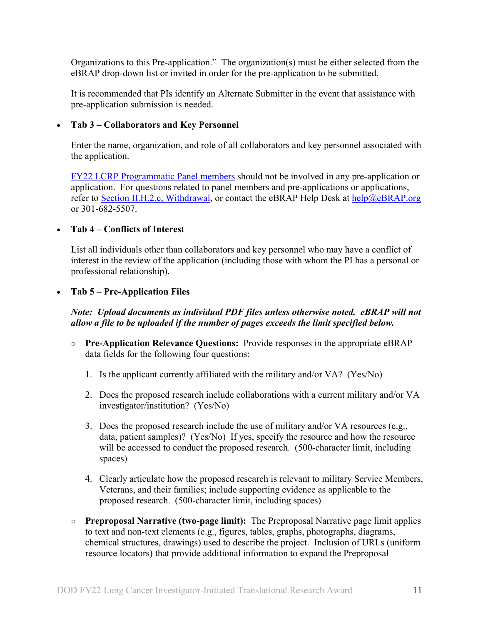Organizations to this Pre-application." The organization(s) must be either selected from the eBRAP drop-down list or invited in order for the pre-application to be submitted.

It is recommended that PIs identify an Alternate Submitter in the event that assistance with pre-application submission is needed.

#### • **Tab 3 – Collaborators and Key Personnel**

Enter the name, organization, and role of all collaborators and key personnel associated with the application.

[FY22 LCRP Programmatic Panel members](https://cdmrp.army.mil/lcrp/panels/panels22) should not be involved in any pre-application or application. For questions related to panel members and pre-applications or applications, refer to Section [II.H.2.c, Withdrawal,](#page-32-0) or contact the eBRAP Help Desk at [help@eBRAP.org](mailto:help@eBRAP.org) or 301-682-5507.

#### • **Tab 4 – Conflicts of Interest**

List all individuals other than collaborators and key personnel who may have a conflict of interest in the review of the application (including those with whom the PI has a personal or professional relationship).

#### • **Tab 5 – Pre-Application Files**

#### *Note: Upload documents as individual PDF files unless otherwise noted. eBRAP will not allow a file to be uploaded if the number of pages exceeds the limit specified below.*

- **Pre-Application Relevance Questions:** Provide responses in the appropriate eBRAP data fields for the following four questions:
	- 1. Is the applicant currently affiliated with the military and/or VA? (Yes/No)
	- 2. Does the proposed research include collaborations with a current military and/or VA investigator/institution? (Yes/No)
	- 3. Does the proposed research include the use of military and/or VA resources (e.g., data, patient samples)? (Yes/No) If yes, specify the resource and how the resource will be accessed to conduct the proposed research. (500-character limit, including spaces)
	- 4. Clearly articulate how the proposed research is relevant to military Service Members, Veterans, and their families; include supporting evidence as applicable to the proposed research. (500-character limit, including spaces)
- **○ Preproposal Narrative (two-page limit):** The Preproposal Narrative page limit applies to text and non-text elements (e.g., figures, tables, graphs, photographs, diagrams, chemical structures, drawings) used to describe the project. Inclusion of URLs (uniform resource locators) that provide additional information to expand the Preproposal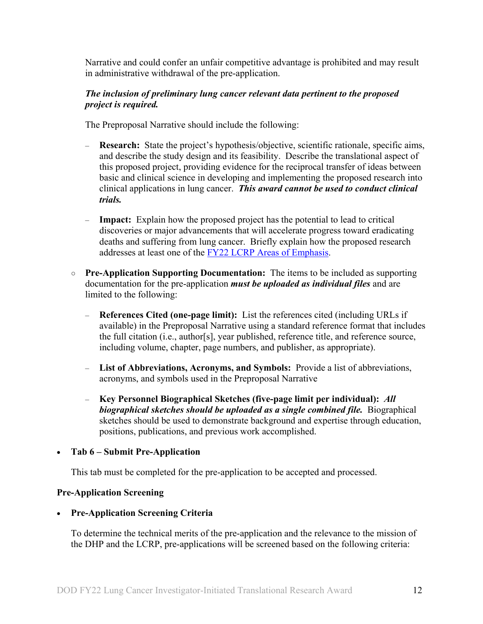Narrative and could confer an unfair competitive advantage is prohibited and may result in administrative withdrawal of the pre-application.

#### *The inclusion of preliminary lung cancer relevant data pertinent to the proposed project is required.*

The Preproposal Narrative should include the following:

- **Research:** State the project's hypothesis/objective, scientific rationale, specific aims, and describe the study design and its feasibility. Describe the translational aspect of this proposed project, providing evidence for the reciprocal transfer of ideas between basic and clinical science in developing and implementing the proposed research into clinical applications in lung cancer. *This award cannot be used to conduct clinical trials.*
- **Impact:** Explain how the proposed project has the potential to lead to critical discoveries or major advancements that will accelerate progress toward eradicating deaths and suffering from lung cancer. Briefly explain how the proposed research addresses at least one of the [FY22 LCRP Areas of Emphasis.](#page-2-3)
- **○ Pre-Application Supporting Documentation:** The items to be included as supporting documentation for the pre-application *must be uploaded as individual files* and are limited to the following:
	- **References Cited (one-page limit):** List the references cited (including URLs if available) in the Preproposal Narrative using a standard reference format that includes the full citation (i.e., author[s], year published, reference title, and reference source, including volume, chapter, page numbers, and publisher, as appropriate).
	- **List of Abbreviations, Acronyms, and Symbols:** Provide a list of abbreviations, acronyms, and symbols used in the Preproposal Narrative
	- **Key Personnel Biographical Sketches (five-page limit per individual):** *All biographical sketches should be uploaded as a single combined file.* Biographical sketches should be used to demonstrate background and expertise through education, positions, publications, and previous work accomplished.

#### • **Tab 6 – Submit Pre-Application**

This tab must be completed for the pre-application to be accepted and processed.

#### **Pre-Application Screening**

• **Pre-Application Screening Criteria**

To determine the technical merits of the pre-application and the relevance to the mission of the DHP and the LCRP, pre-applications will be screened based on the following criteria: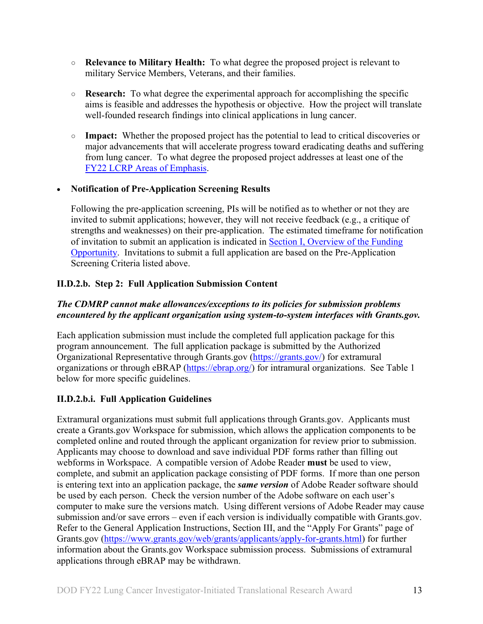- **○ Relevance to Military Health:** To what degree the proposed project is relevant to military Service Members, Veterans, and their families.
- **○ Research:** To what degree the experimental approach for accomplishing the specific aims is feasible and addresses the hypothesis or objective. How the project will translate well-founded research findings into clinical applications in lung cancer.
- **○ Impact:** Whether the proposed project has the potential to lead to critical discoveries or major advancements that will accelerate progress toward eradicating deaths and suffering from lung cancer. To what degree the proposed project addresses at least one of the [FY22 LCRP Areas of Emphasis.](#page-2-3)

#### • **Notification of Pre-Application Screening Results**

Following the pre-application screening, PIs will be notified as to whether or not they are invited to submit applications; however, they will not receive feedback (e.g., a critique of strengths and weaknesses) on their pre-application. The estimated timeframe for notification of invitation to submit an application is indicated in Section I, Overview of the Funding [Opportunity.](#page-0-1) Invitations to submit a full application are based on the Pre-Application Screening Criteria listed above.

## **II.D.2.b. Step 2: Full Application Submission Content**

### *The CDMRP cannot make allowances/exceptions to its policies for submission problems encountered by the applicant organization using system-to-system interfaces with Grants.gov.*

Each application submission must include the completed full application package for this program announcement. The full application package is submitted by the Authorized Organizational Representative through Grants.gov [\(https://grants.gov/\)](https://www.grants.gov/) for extramural organizations or through eBRAP [\(https://ebrap.org/\)](https://ebrap.org/) for intramural organizations. See Table 1 below for more specific guidelines.

## **II.D.2.b.i. Full Application Guidelines**

Extramural organizations must submit full applications through Grants.gov. Applicants must create a Grants.gov Workspace for submission, which allows the application components to be completed online and routed through the applicant organization for review prior to submission. Applicants may choose to download and save individual PDF forms rather than filling out webforms in Workspace. A compatible version of Adobe Reader **must** be used to view, complete, and submit an application package consisting of PDF forms. If more than one person is entering text into an application package, the *same version* of Adobe Reader software should be used by each person. Check the version number of the Adobe software on each user's computer to make sure the versions match. Using different versions of Adobe Reader may cause submission and/or save errors – even if each version is individually compatible with Grants.gov. Refer to the General Application Instructions, Section III, and the "Apply For Grants" page of Grants.gov [\(https://www.grants.gov/web/grants/applicants/apply-for-grants.html\)](https://www.grants.gov/web/grants/applicants/apply-for-grants.html) for further information about the Grants.gov Workspace submission process. Submissions of extramural applications through eBRAP may be withdrawn.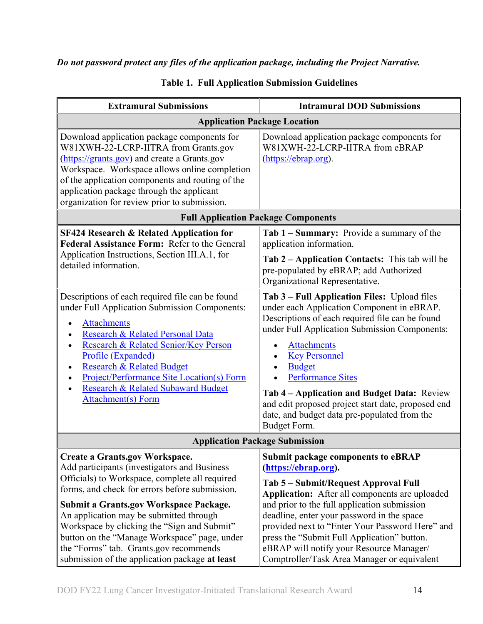## *Do not password protect any files of the application package, including the Project Narrative.*

<span id="page-13-0"></span>

| <b>Extramural Submissions</b>                                                                                                                                                                                                                                                                                                                                                                                                                                             | <b>Intramural DOD Submissions</b>                                                                                                                                                                                                                                                                                                                                                                                                                              |  |
|---------------------------------------------------------------------------------------------------------------------------------------------------------------------------------------------------------------------------------------------------------------------------------------------------------------------------------------------------------------------------------------------------------------------------------------------------------------------------|----------------------------------------------------------------------------------------------------------------------------------------------------------------------------------------------------------------------------------------------------------------------------------------------------------------------------------------------------------------------------------------------------------------------------------------------------------------|--|
| <b>Application Package Location</b>                                                                                                                                                                                                                                                                                                                                                                                                                                       |                                                                                                                                                                                                                                                                                                                                                                                                                                                                |  |
| Download application package components for<br>W81XWH-22-LCRP-IITRA from Grants.gov<br>(https://grants.gov) and create a Grants.gov<br>Workspace. Workspace allows online completion<br>of the application components and routing of the<br>application package through the applicant<br>organization for review prior to submission.                                                                                                                                     | Download application package components for<br>W81XWH-22-LCRP-IITRA from eBRAP<br>(https://ebrap.org).                                                                                                                                                                                                                                                                                                                                                         |  |
| <b>Full Application Package Components</b>                                                                                                                                                                                                                                                                                                                                                                                                                                |                                                                                                                                                                                                                                                                                                                                                                                                                                                                |  |
| <b>SF424 Research &amp; Related Application for</b><br>Federal Assistance Form: Refer to the General<br>Application Instructions, Section III.A.1, for<br>detailed information.                                                                                                                                                                                                                                                                                           | Tab 1 - Summary: Provide a summary of the<br>application information.<br>Tab 2 – Application Contacts: This tab will be<br>pre-populated by eBRAP; add Authorized<br>Organizational Representative.                                                                                                                                                                                                                                                            |  |
| Descriptions of each required file can be found<br>under Full Application Submission Components:<br><b>Attachments</b><br>Research & Related Personal Data<br>Research & Related Senior/Key Person<br>Profile (Expanded)<br><b>Research &amp; Related Budget</b><br>$\bullet$<br>Project/Performance Site Location(s) Form<br>Research & Related Subaward Budget<br><b>Attachment(s)</b> Form                                                                             | Tab 3 - Full Application Files: Upload files<br>under each Application Component in eBRAP.<br>Descriptions of each required file can be found<br>under Full Application Submission Components:<br><b>Attachments</b><br><b>Key Personnel</b><br><b>Budget</b><br><b>Performance Sites</b><br>Tab 4 – Application and Budget Data: Review<br>and edit proposed project start date, proposed end<br>date, and budget data pre-populated from the<br>Budget Form. |  |
| <b>Application Package Submission</b>                                                                                                                                                                                                                                                                                                                                                                                                                                     |                                                                                                                                                                                                                                                                                                                                                                                                                                                                |  |
| <b>Create a Grants.gov Workspace.</b><br>Add participants (investigators and Business<br>Officials) to Workspace, complete all required<br>forms, and check for errors before submission.<br>Submit a Grants.gov Workspace Package.<br>An application may be submitted through<br>Workspace by clicking the "Sign and Submit"<br>button on the "Manage Workspace" page, under<br>the "Forms" tab. Grants.gov recommends<br>submission of the application package at least | <b>Submit package components to eBRAP</b><br>(https://ebrap.org).<br>Tab 5 – Submit/Request Approval Full<br>Application: After all components are uploaded<br>and prior to the full application submission<br>deadline, enter your password in the space<br>provided next to "Enter Your Password Here" and<br>press the "Submit Full Application" button.<br>eBRAP will notify your Resource Manager/<br>Comptroller/Task Area Manager or equivalent         |  |

### **Table 1. Full Application Submission Guidelines**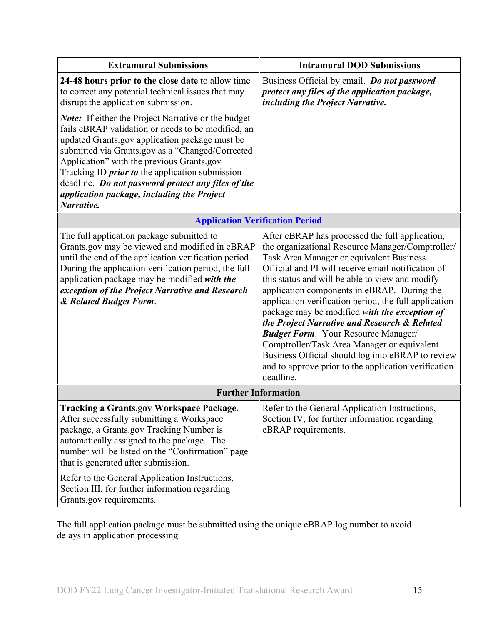| <b>Extramural Submissions</b>                                                                                                                                                                                                                                                                                                                                                                                                                   | <b>Intramural DOD Submissions</b>                                                                                                                                                                                                                                                                                                                                                                                                                                                                                                                                                                                                                                                        |  |
|-------------------------------------------------------------------------------------------------------------------------------------------------------------------------------------------------------------------------------------------------------------------------------------------------------------------------------------------------------------------------------------------------------------------------------------------------|------------------------------------------------------------------------------------------------------------------------------------------------------------------------------------------------------------------------------------------------------------------------------------------------------------------------------------------------------------------------------------------------------------------------------------------------------------------------------------------------------------------------------------------------------------------------------------------------------------------------------------------------------------------------------------------|--|
| 24-48 hours prior to the close date to allow time<br>to correct any potential technical issues that may<br>disrupt the application submission.                                                                                                                                                                                                                                                                                                  | Business Official by email. Do not password<br>protect any files of the application package,<br>including the Project Narrative.                                                                                                                                                                                                                                                                                                                                                                                                                                                                                                                                                         |  |
| <b>Note:</b> If either the Project Narrative or the budget<br>fails eBRAP validation or needs to be modified, an<br>updated Grants.gov application package must be<br>submitted via Grants.gov as a "Changed/Corrected<br>Application" with the previous Grants.gov<br>Tracking ID <i>prior to</i> the application submission<br>deadline. Do not password protect any files of the<br>application package, including the Project<br>Narrative. |                                                                                                                                                                                                                                                                                                                                                                                                                                                                                                                                                                                                                                                                                          |  |
| <b>Application Verification Period</b>                                                                                                                                                                                                                                                                                                                                                                                                          |                                                                                                                                                                                                                                                                                                                                                                                                                                                                                                                                                                                                                                                                                          |  |
| The full application package submitted to<br>Grants.gov may be viewed and modified in eBRAP<br>until the end of the application verification period.<br>During the application verification period, the full<br>application package may be modified with the<br>exception of the Project Narrative and Research<br>& Related Budget Form.                                                                                                       | After eBRAP has processed the full application,<br>the organizational Resource Manager/Comptroller/<br>Task Area Manager or equivalent Business<br>Official and PI will receive email notification of<br>this status and will be able to view and modify<br>application components in eBRAP. During the<br>application verification period, the full application<br>package may be modified with the exception of<br>the Project Narrative and Research & Related<br><b>Budget Form.</b> Your Resource Manager/<br>Comptroller/Task Area Manager or equivalent<br>Business Official should log into eBRAP to review<br>and to approve prior to the application verification<br>deadline. |  |
| <b>Further Information</b>                                                                                                                                                                                                                                                                                                                                                                                                                      |                                                                                                                                                                                                                                                                                                                                                                                                                                                                                                                                                                                                                                                                                          |  |
| <b>Tracking a Grants.gov Workspace Package.</b><br>After successfully submitting a Workspace<br>package, a Grants.gov Tracking Number is<br>automatically assigned to the package. The<br>number will be listed on the "Confirmation" page<br>that is generated after submission.<br>Refer to the General Application Instructions,<br>Section III, for further information regarding<br>Grants.gov requirements.                               | Refer to the General Application Instructions,<br>Section IV, for further information regarding<br>eBRAP requirements.                                                                                                                                                                                                                                                                                                                                                                                                                                                                                                                                                                   |  |

The full application package must be submitted using the unique eBRAP log number to avoid delays in application processing.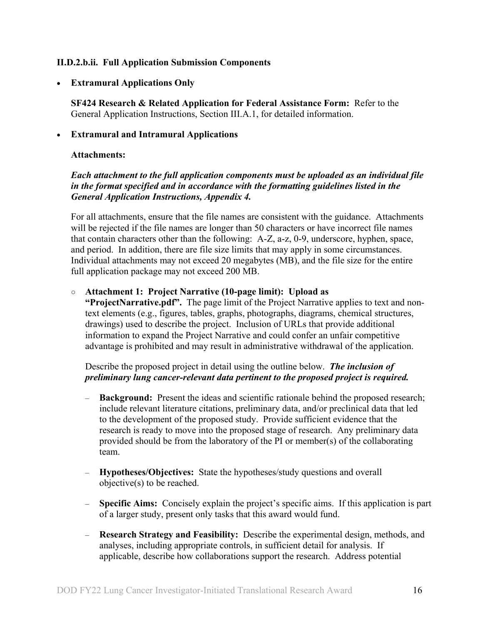#### <span id="page-15-0"></span>**II.D.2.b.ii. Full Application Submission Components**

• **Extramural Applications Only**

**SF424 Research & Related Application for Federal Assistance Form:** Refer to the General Application Instructions, Section III.A.1, for detailed information.

#### • **Extramural and Intramural Applications**

#### <span id="page-15-1"></span>**Attachments:**

#### *Each attachment to the full application components must be uploaded as an individual file in the format specified and in accordance with the formatting guidelines listed in the General Application Instructions, Appendix 4.*

For all attachments, ensure that the file names are consistent with the guidance. Attachments will be rejected if the file names are longer than 50 characters or have incorrect file names that contain characters other than the following: A-Z, a-z, 0-9, underscore, hyphen, space, and period. In addition, there are file size limits that may apply in some circumstances. Individual attachments may not exceed 20 megabytes (MB), and the file size for the entire full application package may not exceed 200 MB.

#### ○ **Attachment 1: Project Narrative (10-page limit): Upload as**

**"ProjectNarrative.pdf".** The page limit of the Project Narrative applies to text and nontext elements (e.g., figures, tables, graphs, photographs, diagrams, chemical structures, drawings) used to describe the project. Inclusion of URLs that provide additional information to expand the Project Narrative and could confer an unfair competitive advantage is prohibited and may result in administrative withdrawal of the application.

Describe the proposed project in detail using the outline below. *The inclusion of preliminary lung cancer-relevant data pertinent to the proposed project is required.*

- **Background:** Present the ideas and scientific rationale behind the proposed research; include relevant literature citations, preliminary data, and/or preclinical data that led to the development of the proposed study. Provide sufficient evidence that the research is ready to move into the proposed stage of research. Any preliminary data provided should be from the laboratory of the PI or member(s) of the collaborating team.
- **Hypotheses/Objectives:** State the hypotheses/study questions and overall objective(s) to be reached.
- **Specific Aims:** Concisely explain the project's specific aims. If this application is part of a larger study, present only tasks that this award would fund.
- **Research Strategy and Feasibility:** Describe the experimental design, methods, and analyses, including appropriate controls, in sufficient detail for analysis. If applicable, describe how collaborations support the research. Address potential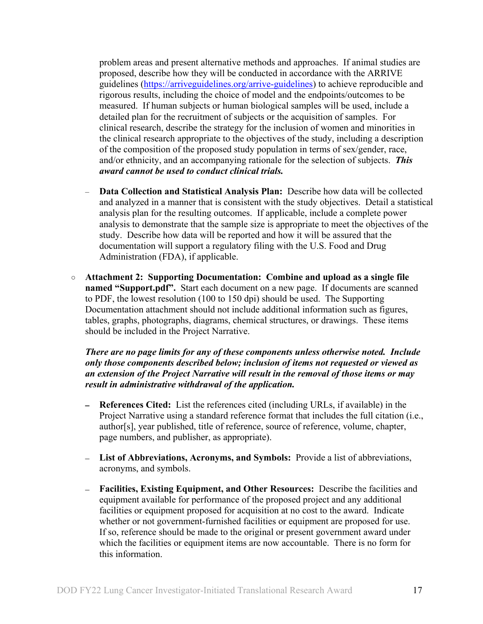problem areas and present alternative methods and approaches. If animal studies are proposed, describe how they will be conducted in accordance with the ARRIVE guidelines [\(https://arriveguidelines.org/arrive-guidelines\)](https://arriveguidelines.org/arrive-guidelines) to achieve reproducible and rigorous results, including the choice of model and the endpoints/outcomes to be measured. If human subjects or human biological samples will be used, include a detailed plan for the recruitment of subjects or the acquisition of samples. For clinical research, describe the strategy for the inclusion of women and minorities in the clinical research appropriate to the objectives of the study, including a description of the composition of the proposed study population in terms of sex/gender, race, and/or ethnicity, and an accompanying rationale for the selection of subjects. *This award cannot be used to conduct clinical trials.*

- **Data Collection and Statistical Analysis Plan:** Describe how data will be collected and analyzed in a manner that is consistent with the study objectives. Detail a statistical analysis plan for the resulting outcomes. If applicable, include a complete power analysis to demonstrate that the sample size is appropriate to meet the objectives of the study. Describe how data will be reported and how it will be assured that the documentation will support a regulatory filing with the U.S. Food and Drug Administration (FDA), if applicable.
- **Attachment 2: Supporting Documentation: Combine and upload as a single file named "Support.pdf".** Start each document on a new page. If documents are scanned to PDF, the lowest resolution (100 to 150 dpi) should be used. The Supporting Documentation attachment should not include additional information such as figures, tables, graphs, photographs, diagrams, chemical structures, or drawings. These items should be included in the Project Narrative.

*There are no page limits for any of these components unless otherwise noted. Include only those components described below; inclusion of items not requested or viewed as an extension of the Project Narrative will result in the removal of those items or may result in administrative withdrawal of the application.*

- **References Cited:** List the references cited (including URLs, if available) in the Project Narrative using a standard reference format that includes the full citation (i.e., author[s], year published, title of reference, source of reference, volume, chapter, page numbers, and publisher, as appropriate).
- **List of Abbreviations, Acronyms, and Symbols:** Provide a list of abbreviations, acronyms, and symbols.
- **Facilities, Existing Equipment, and Other Resources:** Describe the facilities and equipment available for performance of the proposed project and any additional facilities or equipment proposed for acquisition at no cost to the award. Indicate whether or not government-furnished facilities or equipment are proposed for use. If so, reference should be made to the original or present government award under which the facilities or equipment items are now accountable. There is no form for this information.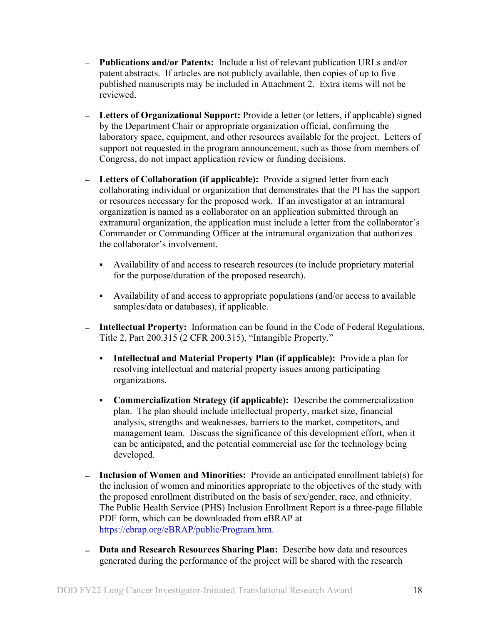- **Publications and/or Patents:** Include a list of relevant publication URLs and/or patent abstracts. If articles are not publicly available, then copies of up to five published manuscripts may be included in Attachment 2. Extra items will not be reviewed.
- **Letters of Organizational Support:** Provide a letter (or letters, if applicable) signed by the Department Chair or appropriate organization official, confirming the laboratory space, equipment, and other resources available for the project. Letters of support not requested in the program announcement, such as those from members of Congress, do not impact application review or funding decisions.
- **Letters of Collaboration (if applicable):** Provide a signed letter from each collaborating individual or organization that demonstrates that the PI has the support or resources necessary for the proposed work. If an investigator at an intramural organization is named as a collaborator on an application submitted through an extramural organization, the application must include a letter from the collaborator's Commander or Commanding Officer at the intramural organization that authorizes the collaborator's involvement.
	- Availability of and access to research resources (to include proprietary material for the purpose/duration of the proposed research).
	- Availability of and access to appropriate populations (and/or access to available samples/data or databases), if applicable.
- **Intellectual Property:** Information can be found in the Code of Federal Regulations, Title 2, Part 200.315 (2 CFR 200.315), "Intangible Property."
	- **Intellectual and Material Property Plan (if applicable):** Provide a plan for resolving intellectual and material property issues among participating organizations.
	- **Commercialization Strategy (if applicable):** Describe the commercialization plan. The plan should include intellectual property, market size, financial analysis, strengths and weaknesses, barriers to the market, competitors, and management team. Discuss the significance of this development effort, when it can be anticipated, and the potential commercial use for the technology being developed.
- **Inclusion of Women and Minorities:** Provide an anticipated enrollment table(s) for the inclusion of women and minorities appropriate to the objectives of the study with the proposed enrollment distributed on the basis of sex/gender, race, and ethnicity. The Public Health Service (PHS) Inclusion Enrollment Report is a three-page fillable PDF form, which can be downloaded from eBRAP at [https://ebrap.org/eBRAP/public/Program.htm.](https://ebrap.org/eBRAP/public/Program.htm)
- **Data and Research Resources Sharing Plan:** Describe how data and resources generated during the performance of the project will be shared with the research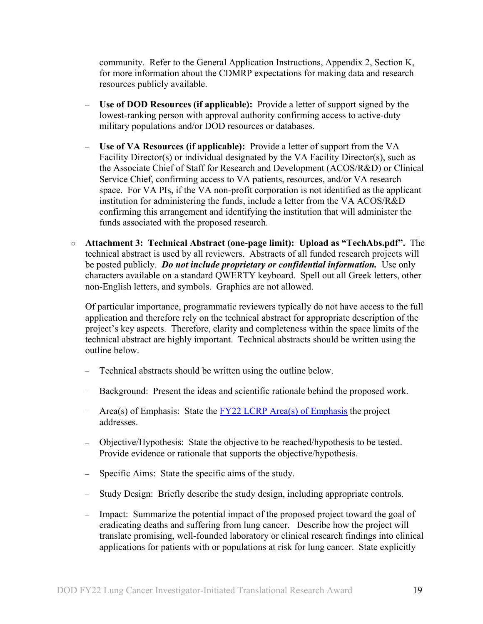community. Refer to the General Application Instructions, Appendix 2, Section K, for more information about the CDMRP expectations for making data and research resources publicly available.

- **Use of DOD Resources (if applicable):** Provide a letter of support signed by the lowest-ranking person with approval authority confirming access to active-duty military populations and/or DOD resources or databases.
- **Use of VA Resources (if applicable):** Provide a letter of support from the VA Facility Director(s) or individual designated by the VA Facility Director(s), such as the Associate Chief of Staff for Research and Development (ACOS/R&D) or Clinical Service Chief, confirming access to VA patients, resources, and/or VA research space. For VA PIs, if the VA non-profit corporation is not identified as the applicant institution for administering the funds, include a letter from the VA ACOS/R&D confirming this arrangement and identifying the institution that will administer the funds associated with the proposed research.
- **Attachment 3: Technical Abstract (one-page limit): Upload as "TechAbs.pdf".** The technical abstract is used by all reviewers. Abstracts of all funded research projects will be posted publicly. *Do not include proprietary or confidential information*. Use only characters available on a standard QWERTY keyboard. Spell out all Greek letters, other non-English letters, and symbols. Graphics are not allowed.

Of particular importance, programmatic reviewers typically do not have access to the full application and therefore rely on the technical abstract for appropriate description of the project's key aspects. Therefore, clarity and completeness within the space limits of the technical abstract are highly important. Technical abstracts should be written using the outline below.

- Technical abstracts should be written using the outline below.
- Background: Present the ideas and scientific rationale behind the proposed work.
- Area(s) of Emphasis: State the  $\frac{fY22 LCRP Area(s)$  of Emphasis the project addresses.
- Objective/Hypothesis: State the objective to be reached/hypothesis to be tested. Provide evidence or rationale that supports the objective/hypothesis.
- Specific Aims: State the specific aims of the study.
- Study Design: Briefly describe the study design, including appropriate controls.
- Impact: Summarize the potential impact of the proposed project toward the goal of eradicating deaths and suffering from lung cancer. Describe how the project will translate promising, well-founded laboratory or clinical research findings into clinical applications for patients with or populations at risk for lung cancer. State explicitly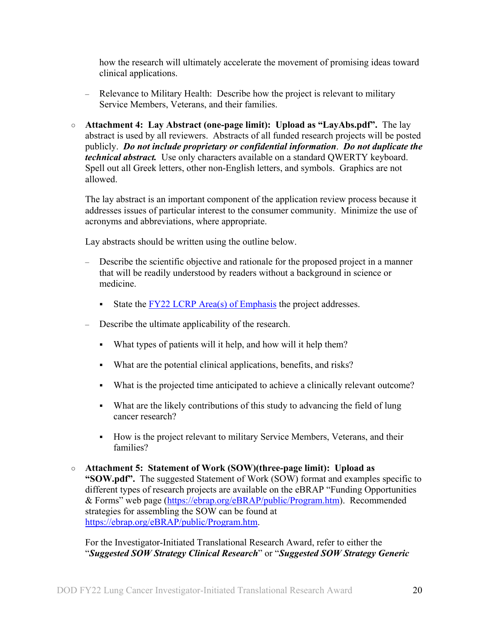how the research will ultimately accelerate the movement of promising ideas toward clinical applications.

- Relevance to Military Health: Describe how the project is relevant to military Service Members, Veterans, and their families.
- **Attachment 4: Lay Abstract (one-page limit): Upload as "LayAbs.pdf".** The lay abstract is used by all reviewers. Abstracts of all funded research projects will be posted publicly. *Do not include proprietary or confidential information*. *Do not duplicate the technical abstract.* Use only characters available on a standard QWERTY keyboard. Spell out all Greek letters, other non-English letters, and symbols. Graphics are not allowed.

The lay abstract is an important component of the application review process because it addresses issues of particular interest to the consumer community. Minimize the use of acronyms and abbreviations, where appropriate.

Lay abstracts should be written using the outline below.

- Describe the scientific objective and rationale for the proposed project in a manner that will be readily understood by readers without a background in science or medicine.
	- State the  $\frac{FY22 \text{ LCRP Area}(s) \text{ of Emphasis}}{FY22 \text{ LCRP Area}(s)}$  the project addresses.
- Describe the ultimate applicability of the research.
	- What types of patients will it help, and how will it help them?
	- What are the potential clinical applications, benefits, and risks?
	- What is the projected time anticipated to achieve a clinically relevant outcome?
	- What are the likely contributions of this study to advancing the field of lung cancer research?
	- How is the project relevant to military Service Members, Veterans, and their families?
- **Attachment 5: Statement of Work (SOW)(three-page limit): Upload as "SOW.pdf".** The suggested Statement of Work (SOW) format and examples specific to different types of research projects are available on the eBRAP "Funding Opportunities & Forms" web page [\(https://ebrap.org/eBRAP/public/Program.htm\)](https://ebrap.org/eBRAP/public/Program.htm). Recommended strategies for assembling the SOW can be found at [https://ebrap.org/eBRAP/public/Program.htm.](https://ebrap.org/eBRAP/public/Program.htm)

For the Investigator-Initiated Translational Research Award, refer to either the "*Suggested SOW Strategy Clinical Research*" or "*Suggested SOW Strategy Generic*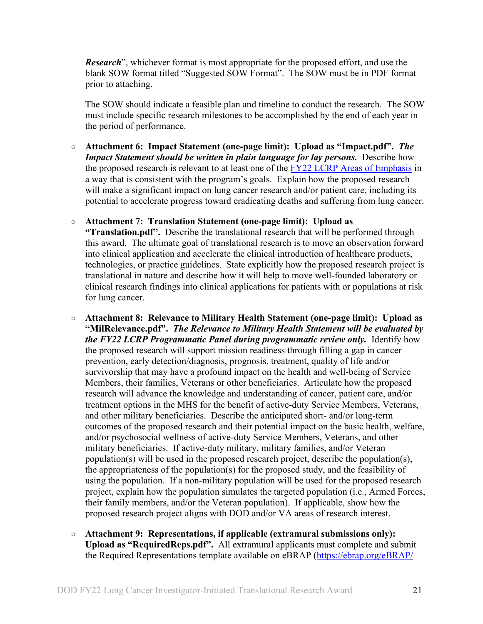*Research*", whichever format is most appropriate for the proposed effort, and use the blank SOW format titled "Suggested SOW Format". The SOW must be in PDF format prior to attaching.

The SOW should indicate a feasible plan and timeline to conduct the research. The SOW must include specific research milestones to be accomplished by the end of each year in the period of performance.

- **Attachment 6: Impact Statement (one-page limit): Upload as "Impact.pdf".** *The Impact Statement should be written in plain language for lay persons.* Describe how the proposed research is relevant to at least one of the [FY22 LCRP Areas of Emphasis](#page-2-3) in a way that is consistent with the program's goals. Explain how the proposed research will make a significant impact on lung cancer research and/or patient care, including its potential to accelerate progress toward eradicating deaths and suffering from lung cancer.
- **Attachment 7: Translation Statement (one-page limit): Upload as**

**"Translation.pdf".** Describe the translational research that will be performed through this award. The ultimate goal of translational research is to move an observation forward into clinical application and accelerate the clinical introduction of healthcare products, technologies, or practice guidelines. State explicitly how the proposed research project is translational in nature and describe how it will help to move well-founded laboratory or clinical research findings into clinical applications for patients with or populations at risk for lung cancer.

- **Attachment 8: Relevance to Military Health Statement (one-page limit): Upload as "MilRelevance.pdf".** *The Relevance to Military Health Statement will be evaluated by the FY22 LCRP Programmatic Panel during programmatic review only.* Identify how the proposed research will support mission readiness through filling a gap in cancer prevention, early detection/diagnosis, prognosis, treatment, quality of life and/or survivorship that may have a profound impact on the health and well-being of Service Members, their families, Veterans or other beneficiaries. Articulate how the proposed research will advance the knowledge and understanding of cancer, patient care, and/or treatment options in the MHS for the benefit of active-duty Service Members, Veterans, and other military beneficiaries. Describe the anticipated short- and/or long-term outcomes of the proposed research and their potential impact on the basic health, welfare, and/or psychosocial wellness of active-duty Service Members, Veterans, and other military beneficiaries. If active-duty military, military families, and/or Veteran population(s) will be used in the proposed research project, describe the population(s), the appropriateness of the population(s) for the proposed study, and the feasibility of using the population. If a non-military population will be used for the proposed research project, explain how the population simulates the targeted population (i.e., Armed Forces, their family members, and/or the Veteran population). If applicable, show how the proposed research project aligns with DOD and/or VA areas of research interest.
- **Attachment 9: Representations, if applicable (extramural submissions only): Upload as "RequiredReps.pdf".** All extramural applicants must complete and submit the Required Representations template available on eBRAP [\(https://ebrap.org/eBRAP/](https://ebrap.org/eBRAP/public/Program.htm)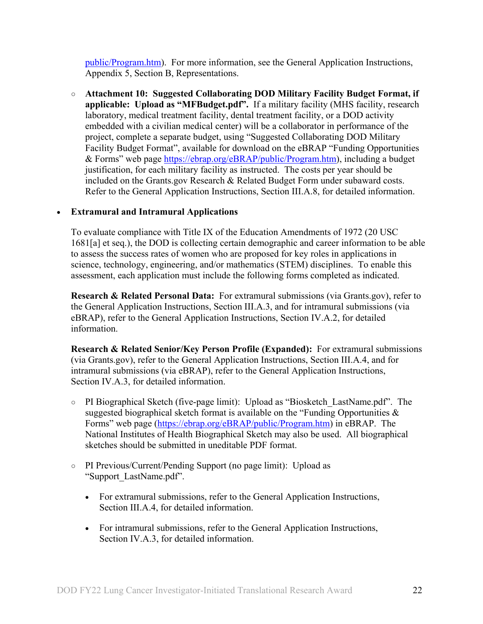[public/Program.htm\)](https://ebrap.org/eBRAP/public/Program.htm). For more information, see the General Application Instructions, Appendix 5, Section B, Representations.

<span id="page-21-2"></span>○ **Attachment 10: Suggested Collaborating DOD Military Facility Budget Format, if applicable: Upload as "MFBudget.pdf".** If a military facility (MHS facility, research laboratory, medical treatment facility, dental treatment facility, or a DOD activity embedded with a civilian medical center) will be a collaborator in performance of the project, complete a separate budget, using "Suggested Collaborating DOD Military Facility Budget Format", available for download on the eBRAP "Funding Opportunities & Forms" web page [https://ebrap.org/eBRAP/public/Program.htm\)](https://ebrap.org/eBRAP/public/Program.htm), including a budget justification, for each military facility as instructed. The costs per year should be included on the Grants.gov Research & Related Budget Form under subaward costs. Refer to the General Application Instructions, Section III.A.8, for detailed information.

#### • **Extramural and Intramural Applications**

To evaluate compliance with Title IX of the Education Amendments of 1972 (20 USC 1681[a] et seq.), the DOD is collecting certain demographic and career information to be able to assess the success rates of women who are proposed for key roles in applications in science, technology, engineering, and/or mathematics (STEM) disciplines. To enable this assessment, each application must include the following forms completed as indicated.

<span id="page-21-0"></span>**Research & Related Personal Data:** For extramural submissions (via Grants.gov), refer to the General Application Instructions, Section III.A.3, and for intramural submissions (via eBRAP), refer to the General Application Instructions, Section IV.A.2, for detailed information.

<span id="page-21-1"></span>**Research & Related Senior/Key Person Profile (Expanded):** For extramural submissions (via Grants.gov), refer to the General Application Instructions, Section III.A.4, and for intramural submissions (via eBRAP), refer to the General Application Instructions, Section IV.A.3, for detailed information.

- PI Biographical Sketch (five-page limit): Upload as "Biosketch\_LastName.pdf". The suggested biographical sketch format is available on the "Funding Opportunities & Forms" web page [\(https://ebrap.org/eBRAP/public/Program.htm\)](https://ebrap.org/eBRAP/public/Program.htm) in eBRAP. The National Institutes of Health Biographical Sketch may also be used. All biographical sketches should be submitted in uneditable PDF format.
- PI Previous/Current/Pending Support (no page limit): Upload as "Support\_LastName.pdf".
	- For extramural submissions, refer to the General Application Instructions, Section III.A.4, for detailed information.
	- For intramural submissions, refer to the General Application Instructions, Section IV.A.3, for detailed information.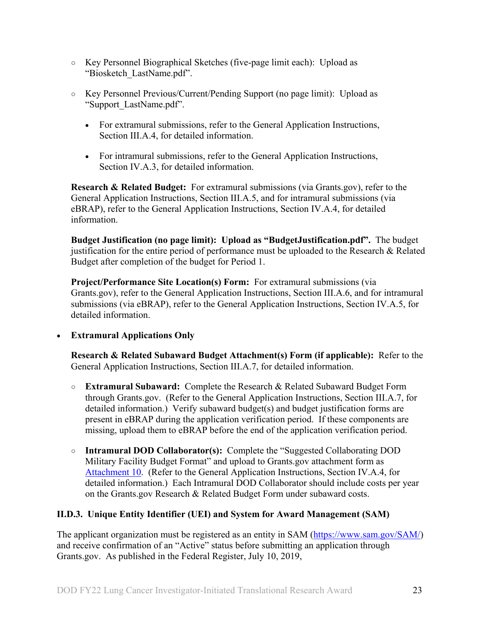- Key Personnel Biographical Sketches (five-page limit each): Upload as "Biosketch\_LastName.pdf".
- Key Personnel Previous/Current/Pending Support (no page limit): Upload as "Support\_LastName.pdf".
	- For extramural submissions, refer to the General Application Instructions, Section III.A.4, for detailed information.
	- For intramural submissions, refer to the General Application Instructions, Section IV.A.3, for detailed information.

<span id="page-22-1"></span>**Research & Related Budget:** For extramural submissions (via Grants.gov), refer to the General Application Instructions, Section III.A.5, and for intramural submissions (via eBRAP), refer to the General Application Instructions, Section IV.A.4, for detailed information.

**Budget Justification (no page limit): Upload as "BudgetJustification.pdf".** The budget justification for the entire period of performance must be uploaded to the Research & Related Budget after completion of the budget for Period 1.

<span id="page-22-2"></span>**Project/Performance Site Location(s) Form:** For extramural submissions (via Grants.gov), refer to the General Application Instructions, Section III.A.6, and for intramural submissions (via eBRAP), refer to the General Application Instructions, Section IV.A.5, for detailed information.

#### • **Extramural Applications Only**

<span id="page-22-3"></span>**Research & Related Subaward Budget Attachment(s) Form (if applicable):** Refer to the General Application Instructions, Section III.A.7, for detailed information.

- **Extramural Subaward:** Complete the Research & Related Subaward Budget Form through Grants.gov. (Refer to the General Application Instructions, Section III.A.7, for detailed information.) Verify subaward budget(s) and budget justification forms are present in eBRAP during the application verification period. If these components are missing, upload them to eBRAP before the end of the application verification period.
- **Intramural DOD Collaborator(s):** Complete the "Suggested Collaborating DOD Military Facility Budget Format" and upload to Grants.gov attachment form as [Attachment 10.](#page-21-2) (Refer to the General Application Instructions, Section IV.A.4, for detailed information.) Each Intramural DOD Collaborator should include costs per year on the Grants.gov Research & Related Budget Form under subaward costs.

#### <span id="page-22-0"></span>**II.D.3. Unique Entity Identifier (UEI) and System for Award Management (SAM)**

The applicant organization must be registered as an entity in SAM [\(https://www.sam.gov/SAM/\)](https://www.sam.gov/SAM/) and receive confirmation of an "Active" status before submitting an application through Grants.gov. As published in the Federal Register, July 10, 2019,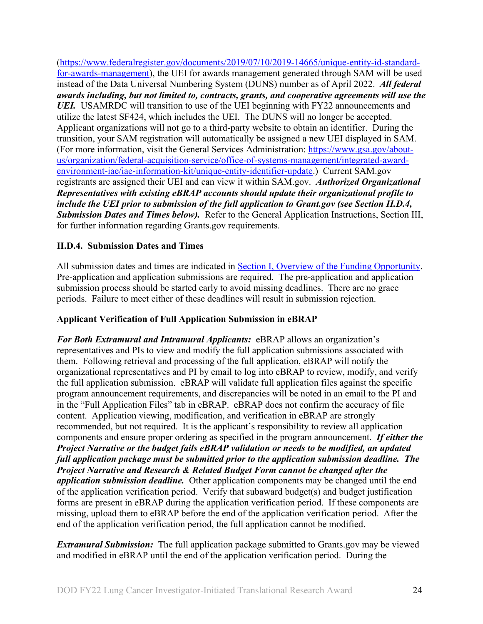[\(https://www.federalregister.gov/documents/2019/07/10/2019-14665/unique-entity-id-standard](https://www.federalregister.gov/documents/2019/07/10/2019-14665/unique-entity-id-standard-for-awards-management)[for-awards-management\)](https://www.federalregister.gov/documents/2019/07/10/2019-14665/unique-entity-id-standard-for-awards-management), the UEI for awards management generated through SAM will be used instead of the Data Universal Numbering System (DUNS) number as of April 2022. *All federal awards including, but not limited to, contracts, grants, and cooperative agreements will use the*  UEI. USAMRDC will transition to use of the UEI beginning with FY22 announcements and utilize the latest SF424, which includes the UEI. The DUNS will no longer be accepted. Applicant organizations will not go to a third-party website to obtain an identifier. During the transition, your SAM registration will automatically be assigned a new UEI displayed in SAM. (For more information, visit the General Services Administration: [https://www.gsa.gov/about](https://www.gsa.gov/about-us/organization/federal-acquisition-service/office-of-systems-management/integrated-award-environment-iae/iae-information-kit/unique-entity-identifier-update)[us/organization/federal-acquisition-service/office-of-systems-management/integrated-award](https://www.gsa.gov/about-us/organization/federal-acquisition-service/office-of-systems-management/integrated-award-environment-iae/iae-information-kit/unique-entity-identifier-update)[environment-iae/iae-information-kit/unique-entity-identifier-update.](https://www.gsa.gov/about-us/organization/federal-acquisition-service/office-of-systems-management/integrated-award-environment-iae/iae-information-kit/unique-entity-identifier-update)) Current SAM.gov registrants are assigned their UEI and can view it within SAM.gov. *Authorized Organizational Representatives with existing eBRAP accounts should update their organizational profile to include the UEI prior to submission of the full application to Grant.gov (see Section II.D.4, Submission Dates and Times below).* Refer to the General Application Instructions, Section III, for further information regarding Grants.gov requirements.

### <span id="page-23-0"></span>**II.D.4. Submission Dates and Times**

All submission dates and times are indicated in **Section I**, Overview of the Funding Opportunity. Pre-application and application submissions are required. The pre-application and application submission process should be started early to avoid missing deadlines. There are no grace periods. Failure to meet either of these deadlines will result in submission rejection.

#### <span id="page-23-1"></span>**Applicant Verification of Full Application Submission in eBRAP**

*For Both Extramural and Intramural Applicants:* eBRAP allows an organization's representatives and PIs to view and modify the full application submissions associated with them. Following retrieval and processing of the full application, eBRAP will notify the organizational representatives and PI by email to log into eBRAP to review, modify, and verify the full application submission. eBRAP will validate full application files against the specific program announcement requirements, and discrepancies will be noted in an email to the PI and in the "Full Application Files" tab in eBRAP. eBRAP does not confirm the accuracy of file content. Application viewing, modification, and verification in eBRAP are strongly recommended, but not required. It is the applicant's responsibility to review all application components and ensure proper ordering as specified in the program announcement. *If either the Project Narrative or the budget fails eBRAP validation or needs to be modified, an updated full application package must be submitted prior to the application submission deadline. The Project Narrative and Research & Related Budget Form cannot be changed after the application submission deadline.* Other application components may be changed until the end of the [application verification period.](#page-0-0) Verify that subaward budget(s) and budget justification forms are present in eBRAP during the application verification period. If these components are missing, upload them to eBRAP before the end of the application verification period. After the end of the application verification period, the full application cannot be modified.

*Extramural Submission:* The full application package submitted to Grants.gov may be viewed and modified in eBRAP until the end of the application verification period. During the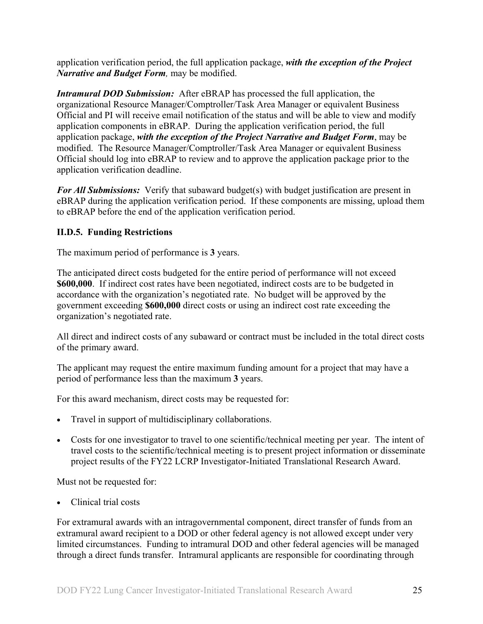application verification period, the full application package, *with the exception of the Project Narrative and Budget Form,* may be modified.

*Intramural DOD Submission:* After eBRAP has processed the full application, the organizational Resource Manager/Comptroller/Task Area Manager or equivalent Business Official and PI will receive email notification of the status and will be able to view and modify application components in eBRAP. During the application verification period, the full application package, *with the exception of the Project Narrative and Budget Form*, may be modified. The Resource Manager/Comptroller/Task Area Manager or equivalent Business Official should log into eBRAP to review and to approve the application package prior to the application verification deadline.

*For All Submissions:* Verify that subaward budget(s) with budget justification are present in eBRAP during the application verification period. If these components are missing, upload them to eBRAP before the end of the application verification period.

### <span id="page-24-0"></span>**II.D.5. Funding Restrictions**

The maximum period of performance is **3** years.

The anticipated direct costs budgeted for the entire period of performance will not exceed **\$600,000**. If indirect cost rates have been negotiated, indirect costs are to be budgeted in accordance with the organization's negotiated rate. No budget will be approved by the government exceeding **\$600,000** direct costs or using an indirect cost rate exceeding the organization's negotiated rate.

All direct and indirect costs of any subaward or contract must be included in the total direct costs of the primary award.

The applicant may request the entire maximum funding amount for a project that may have a period of performance less than the maximum **3** years.

For this award mechanism, direct costs may be requested for:

- Travel in support of multidisciplinary collaborations.
- Costs for one investigator to travel to one scientific/technical meeting per year. The intent of travel costs to the scientific/technical meeting is to present project information or disseminate project results of the FY22 LCRP Investigator-Initiated Translational Research Award.

Must not be requested for:

• Clinical trial costs

For extramural awards with an intragovernmental component, direct transfer of funds from an extramural award recipient to a DOD or other federal agency is not allowed except under very limited circumstances. Funding to intramural DOD and other federal agencies will be managed through a direct funds transfer. Intramural applicants are responsible for coordinating through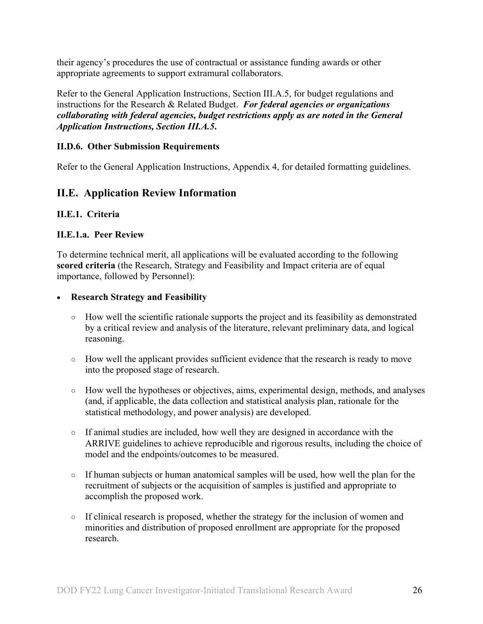their agency's procedures the use of contractual or assistance funding awards or other appropriate agreements to support extramural collaborators.

Refer to the General Application Instructions, Section III.A.5, for budget regulations and instructions for the Research & Related Budget. *For federal agencies or organizations collaborating with federal agencies, budget restrictions apply as are noted in the General Application Instructions, Section III.A.5***.**

#### <span id="page-25-0"></span>**II.D.6. Other Submission Requirements**

Refer to the General Application Instructions, Appendix 4, for detailed formatting guidelines.

## <span id="page-25-1"></span>**II.E. Application Review Information**

#### <span id="page-25-2"></span>**II.E.1. Criteria**

#### **II.E.1.a. Peer Review**

To determine technical merit, all applications will be evaluated according to the following **scored criteria** (the Research, Strategy and Feasibility and Impact criteria are of equal importance, followed by Personnel):

#### • **Research Strategy and Feasibility**

- How well the scientific rationale supports the project and its feasibility as demonstrated by a critical review and analysis of the literature, relevant preliminary data, and logical reasoning.
- How well the applicant provides sufficient evidence that the research is ready to move into the proposed stage of research.
- How well the hypotheses or objectives, aims, experimental design, methods, and analyses (and, if applicable, the data collection and statistical analysis plan, rationale for the statistical methodology, and power analysis) are developed.
- If animal studies are included, how well they are designed in accordance with the ARRIVE guidelines to achieve reproducible and rigorous results, including the choice of model and the endpoints/outcomes to be measured.
- If human subjects or human anatomical samples will be used, how well the plan for the recruitment of subjects or the acquisition of samples is justified and appropriate to accomplish the proposed work.
- If clinical research is proposed, whether the strategy for the inclusion of women and minorities and distribution of proposed enrollment are appropriate for the proposed research.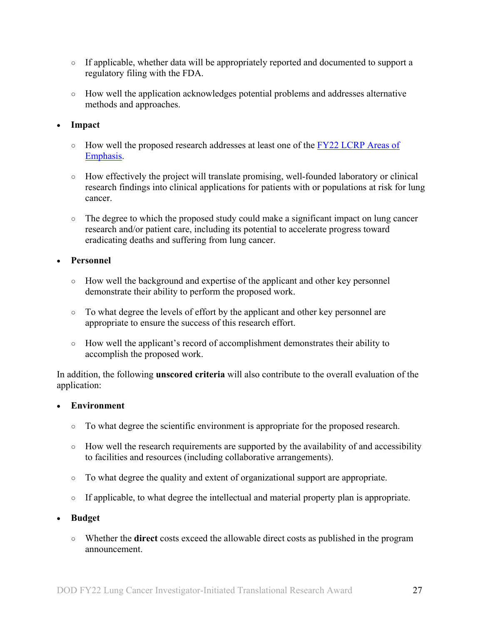- If applicable, whether data will be appropriately reported and documented to support a regulatory filing with the FDA.
- How well the application acknowledges potential problems and addresses alternative methods and approaches.

#### • **Impact**

- How well the proposed research addresses at least one of the FY22 LCRP Areas of [Emphasis.](#page-2-3)
- How effectively the project will translate promising, well-founded laboratory or clinical research findings into clinical applications for patients with or populations at risk for lung cancer.
- The degree to which the proposed study could make a significant impact on lung cancer research and/or patient care, including its potential to accelerate progress toward eradicating deaths and suffering from lung cancer.

#### • **Personnel**

- How well the background and expertise of the applicant and other key personnel demonstrate their ability to perform the proposed work.
- To what degree the levels of effort by the applicant and other key personnel are appropriate to ensure the success of this research effort.
- How well the applicant's record of accomplishment demonstrates their ability to accomplish the proposed work.

In addition, the following **unscored criteria** will also contribute to the overall evaluation of the application:

#### • **Environment**

- To what degree the scientific environment is appropriate for the proposed research.
- How well the research requirements are supported by the availability of and accessibility to facilities and resources (including collaborative arrangements).
- To what degree the quality and extent of organizational support are appropriate.
- If applicable, to what degree the intellectual and material property plan is appropriate.

#### • **Budget**

○ Whether the **direct** costs exceed the allowable direct costs as published in the program announcement.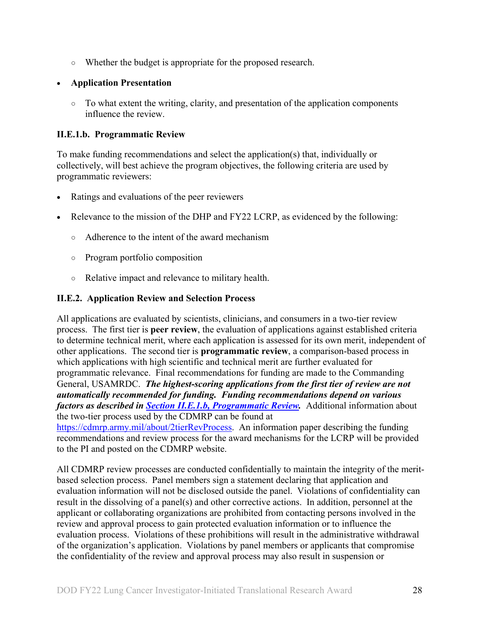○ Whether the budget is appropriate for the proposed research.

### • **Application Presentation**

○ To what extent the writing, clarity, and presentation of the application components influence the review.

### <span id="page-27-1"></span>**II.E.1.b. Programmatic Review**

To make funding recommendations and select the application(s) that, individually or collectively, will best achieve the program objectives, the following criteria are used by programmatic reviewers:

- Ratings and evaluations of the peer reviewers
- Relevance to the mission of the DHP and FY22 LCRP, as evidenced by the following:
	- Adherence to the intent of the award mechanism
	- Program portfolio composition
	- Relative impact and relevance to military health.

### <span id="page-27-0"></span>**II.E.2. Application Review and Selection Process**

All applications are evaluated by scientists, clinicians, and consumers in a two-tier review process. The first tier is **peer review**, the evaluation of applications against established criteria to determine technical merit, where each application is assessed for its own merit, independent of other applications. The second tier is **programmatic review**, a comparison-based process in which applications with high scientific and technical merit are further evaluated for programmatic relevance. Final recommendations for funding are made to the Commanding General, USAMRDC. *The highest-scoring applications from the first tier of review are not automatically recommended for funding. Funding recommendations depend on various factors as described in Section [II.E.1.b, Programmatic Review.](#page-27-1)* Additional information about the two-tier process used by the CDMRP can be found at [https://cdmrp.army.mil/about/2tierRevProcess.](http://cdmrp.army.mil/about/2tierRevProcess) An information paper describing the funding recommendations and review process for the award mechanisms for the LCRP will be provided to the PI and posted on the CDMRP website.

All CDMRP review processes are conducted confidentially to maintain the integrity of the meritbased selection process. Panel members sign a statement declaring that application and evaluation information will not be disclosed outside the panel. Violations of confidentiality can result in the dissolving of a panel(s) and other corrective actions. In addition, personnel at the applicant or collaborating organizations are prohibited from contacting persons involved in the review and approval process to gain protected evaluation information or to influence the evaluation process. Violations of these prohibitions will result in the administrative withdrawal of the organization's application. Violations by panel members or applicants that compromise the confidentiality of the review and approval process may also result in suspension or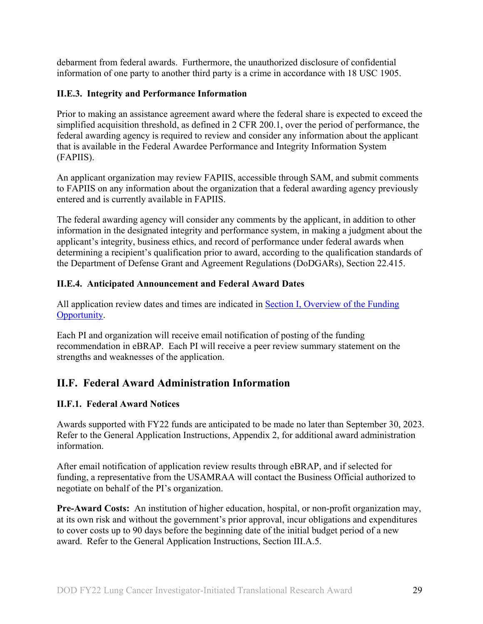debarment from federal awards. Furthermore, the unauthorized disclosure of confidential information of one party to another third party is a crime in accordance with 18 USC 1905.

### <span id="page-28-0"></span>**II.E.3. Integrity and Performance Information**

Prior to making an assistance agreement award where the federal share is expected to exceed the simplified acquisition threshold, as defined in 2 CFR 200.1, over the period of performance, the federal awarding agency is required to review and consider any information about the applicant that is available in the Federal Awardee Performance and Integrity Information System (FAPIIS).

An applicant organization may review FAPIIS, accessible through SAM, and submit comments to FAPIIS on any information about the organization that a federal awarding agency previously entered and is currently available in FAPIIS.

The federal awarding agency will consider any comments by the applicant, in addition to other information in the designated integrity and performance system, in making a judgment about the applicant's integrity, business ethics, and record of performance under federal awards when determining a recipient's qualification prior to award, according to the qualification standards of the Department of Defense Grant and Agreement Regulations (DoDGARs), Section 22.415.

### <span id="page-28-1"></span>**II.E.4. Anticipated Announcement and Federal Award Dates**

All application review dates and times are indicated in [Section I, Overview of the Funding](#page-0-1)  [Opportunity.](#page-0-1)

Each PI and organization will receive email notification of posting of the funding recommendation in eBRAP. Each PI will receive a peer review summary statement on the strengths and weaknesses of the application.

## <span id="page-28-2"></span>**II.F. Federal Award Administration Information**

#### <span id="page-28-3"></span>**II.F.1. Federal Award Notices**

Awards supported with FY22 funds are anticipated to be made no later than September 30, 2023. Refer to the General Application Instructions, Appendix 2, for additional award administration information.

After email notification of application review results through eBRAP, and if selected for funding, a representative from the USAMRAA will contact the Business Official authorized to negotiate on behalf of the PI's organization.

**Pre-Award Costs:** An institution of higher education, hospital, or non-profit organization may, at its own risk and without the government's prior approval, incur obligations and expenditures to cover costs up to 90 days before the beginning date of the initial budget period of a new award. Refer to the General Application Instructions, Section III.A.5.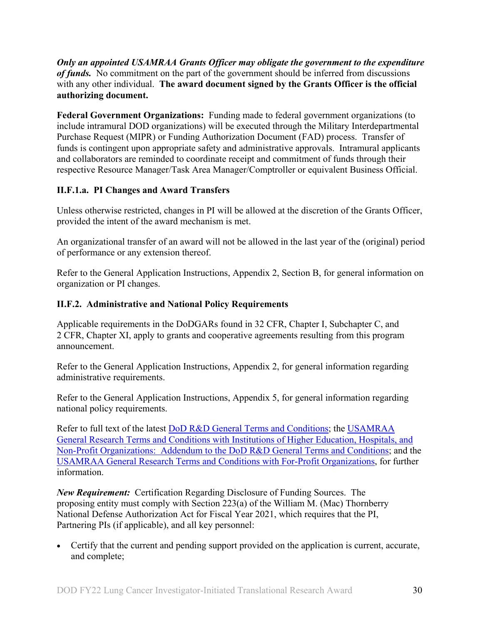*Only an appointed USAMRAA Grants Officer may obligate the government to the expenditure of funds.* No commitment on the part of the government should be inferred from discussions with any other individual. **The award document signed by the Grants Officer is the official authorizing document.**

**Federal Government Organizations:** Funding made to federal government organizations (to include intramural DOD organizations) will be executed through the Military Interdepartmental Purchase Request (MIPR) or Funding Authorization Document (FAD) process. Transfer of funds is contingent upon appropriate safety and administrative approvals. Intramural applicants and collaborators are reminded to coordinate receipt and commitment of funds through their respective Resource Manager/Task Area Manager/Comptroller or equivalent Business Official.

## **II.F.1.a. PI Changes and Award Transfers**

Unless otherwise restricted, changes in PI will be allowed at the discretion of the Grants Officer, provided the intent of the award mechanism is met.

An organizational transfer of an award will not be allowed in the last year of the (original) period of performance or any extension thereof.

Refer to the General Application Instructions, Appendix 2, Section B, for general information on organization or PI changes.

## <span id="page-29-0"></span>**II.F.2. Administrative and National Policy Requirements**

Applicable requirements in the DoDGARs found in 32 CFR, Chapter I, Subchapter C, and 2 CFR, Chapter XI, apply to grants and cooperative agreements resulting from this program announcement.

Refer to the General Application Instructions, Appendix 2, for general information regarding administrative requirements.

Refer to the General Application Instructions, Appendix 5, for general information regarding national policy requirements.

Refer to full text of the latest **DoD R&D General Terms and Conditions**; the USAMRAA [General Research Terms and Conditions with Institutions of Higher Education, Hospitals, and](https://www.usamraa.army.mil/Pages/Resources.aspx)  [Non-Profit Organizations: Addendum to the DoD](https://www.usamraa.army.mil/Pages/Resources.aspx) R&D General Terms and Conditions; and the [USAMRAA General Research Terms and Conditions](https://www.usamraa.army.mil/Pages/Resources.aspx) with For-Profit Organizations, for further information.

*New Requirement:* Certification Regarding Disclosure of Funding Sources. The proposing entity must comply with Section 223(a) of the William M. (Mac) Thornberry National Defense Authorization Act for Fiscal Year 2021, which requires that the PI, Partnering PIs (if applicable), and all key personnel:

• Certify that the current and pending support provided on the application is current, accurate, and complete;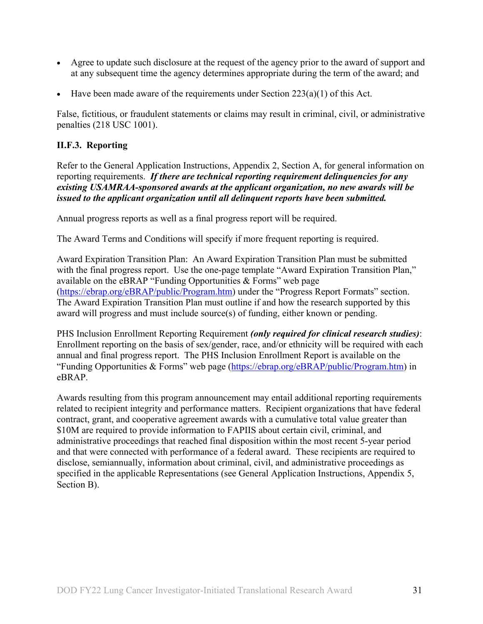- Agree to update such disclosure at the request of the agency prior to the award of support and at any subsequent time the agency determines appropriate during the term of the award; and
- Have been made aware of the requirements under Section  $223(a)(1)$  of this Act.

False, fictitious, or fraudulent statements or claims may result in criminal, civil, or administrative penalties (218 USC 1001).

#### <span id="page-30-0"></span>**II.F.3. Reporting**

Refer to the General Application Instructions, Appendix 2, Section A, for general information on reporting requirements. *If there are technical reporting requirement delinquencies for any existing USAMRAA-sponsored awards at the applicant organization, no new awards will be issued to the applicant organization until all delinquent reports have been submitted.*

Annual progress reports as well as a final progress report will be required.

The Award Terms and Conditions will specify if more frequent reporting is required.

Award Expiration Transition Plan: An Award Expiration Transition Plan must be submitted with the final progress report. Use the one-page template "Award Expiration Transition Plan," available on the eBRAP "Funding Opportunities  $&$  Forms" web page [\(https://ebrap.org/eBRAP/public/Program.htm\)](https://ebrap.org/eBRAP/public/Program.htm) under the "Progress Report Formats" section. The Award Expiration Transition Plan must outline if and how the research supported by this award will progress and must include source(s) of funding, either known or pending.

PHS Inclusion Enrollment Reporting Requirement *(only required for clinical research studies)*: Enrollment reporting on the basis of sex/gender, race, and/or ethnicity will be required with each annual and final progress report. The PHS Inclusion Enrollment Report is available on the "Funding Opportunities & Forms" web page [\(https://ebrap.org/eBRAP/public/Program.htm\)](https://ebrap.org/eBRAP/public/Program.htm) in eBRAP.

Awards resulting from this program announcement may entail additional reporting requirements related to recipient integrity and performance matters. Recipient organizations that have federal contract, grant, and cooperative agreement awards with a cumulative total value greater than \$10M are required to provide information to FAPIIS about certain civil, criminal, and administrative proceedings that reached final disposition within the most recent 5-year period and that were connected with performance of a federal award. These recipients are required to disclose, semiannually, information about criminal, civil, and administrative proceedings as specified in the applicable Representations (see General Application Instructions, Appendix 5, Section B).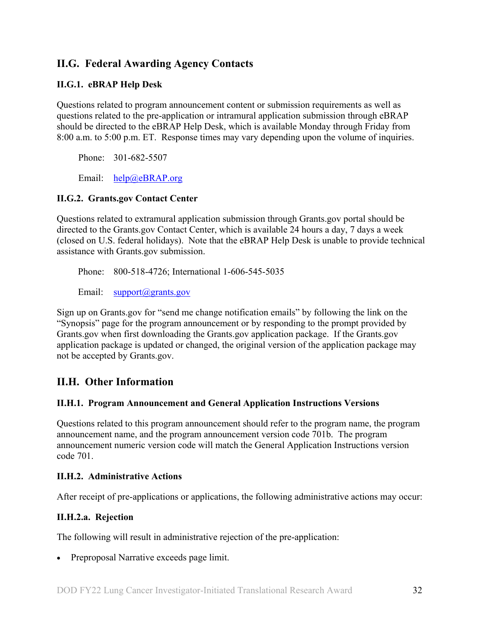## <span id="page-31-0"></span>**II.G. Federal Awarding Agency Contacts**

### <span id="page-31-1"></span>**II.G.1. eBRAP Help Desk**

Questions related to program announcement content or submission requirements as well as questions related to the pre-application or intramural application submission through eBRAP should be directed to the eBRAP Help Desk, which is available Monday through Friday from 8:00 a.m. to 5:00 p.m. ET. Response times may vary depending upon the volume of inquiries.

Phone: 301-682-5507

Email: [help@eBRAP.org](mailto:help@eBRAP.org)

#### <span id="page-31-2"></span>**II.G.2. Grants.gov Contact Center**

Questions related to extramural application submission through Grants.gov portal should be directed to the Grants.gov Contact Center, which is available 24 hours a day, 7 days a week (closed on U.S. federal holidays). Note that the eBRAP Help Desk is unable to provide technical assistance with Grants.gov submission.

Phone: 800-518-4726; International 1-606-545-5035

Email: [support@grants.gov](mailto:support@grants.gov)

Sign up on Grants.gov for "send me change notification emails" by following the link on the "Synopsis" page for the program announcement or by responding to the prompt provided by Grants.gov when first downloading the Grants.gov application package. If the Grants.gov application package is updated or changed, the original version of the application package may not be accepted by Grants.gov.

## <span id="page-31-3"></span>**II.H. Other Information**

#### <span id="page-31-4"></span>**II.H.1. Program Announcement and General Application Instructions Versions**

Questions related to this program announcement should refer to the program name, the program announcement name, and the program announcement version code 701b. The program announcement numeric version code will match the General Application Instructions version code 701.

#### <span id="page-31-5"></span>**II.H.2. Administrative Actions**

After receipt of pre-applications or applications, the following administrative actions may occur:

#### **II.H.2.a. Rejection**

The following will result in administrative rejection of the pre-application:

• Preproposal Narrative exceeds page limit.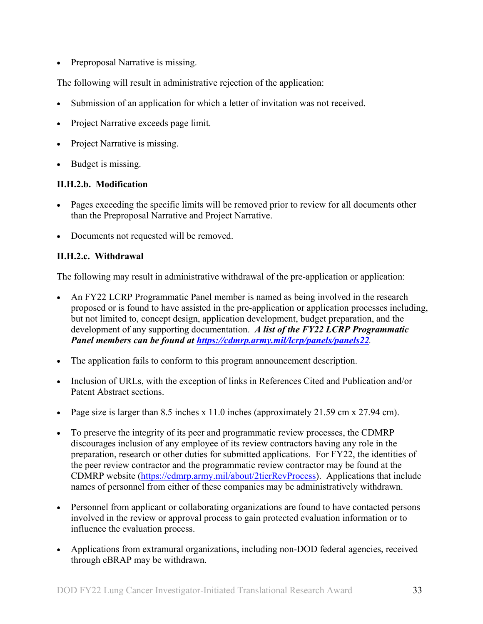• Preproposal Narrative is missing.

The following will result in administrative rejection of the application:

- Submission of an application for which a letter of invitation was not received.
- Project Narrative exceeds page limit.
- Project Narrative is missing.
- Budget is missing.

#### **II.H.2.b. Modification**

- Pages exceeding the specific limits will be removed prior to review for all documents other than the Preproposal Narrative and Project Narrative.
- Documents not requested will be removed.

#### <span id="page-32-0"></span>**II.H.2.c. Withdrawal**

The following may result in administrative withdrawal of the pre-application or application:

- An FY22 LCRP Programmatic Panel member is named as being involved in the research proposed or is found to have assisted in the pre-application or application processes including, but not limited to, concept design, application development, budget preparation, and the development of any supporting documentation. *A list of the FY22 LCRP Programmatic Panel members can be found at<https://cdmrp.army.mil/lcrp/panels/panels22>.*
- The application fails to conform to this program announcement description.
- Inclusion of URLs, with the exception of links in References Cited and Publication and/or Patent Abstract sections.
- Page size is larger than 8.5 inches x 11.0 inches (approximately 21.59 cm x 27.94 cm).
- To preserve the integrity of its peer and programmatic review processes, the CDMRP discourages inclusion of any employee of its review contractors having any role in the preparation, research or other duties for submitted applications. For FY22, the identities of the peer review contractor and the programmatic review contractor may be found at the CDMRP website [\(https://cdmrp.army.mil/about/2tierRevProcess\)](https://cdmrp.army.mil/about/2tierRevProcess). Applications that include names of personnel from either of these companies may be administratively withdrawn.
- Personnel from applicant or collaborating organizations are found to have contacted persons involved in the review or approval process to gain protected evaluation information or to influence the evaluation process.
- Applications from extramural organizations, including non-DOD federal agencies, received through eBRAP may be withdrawn.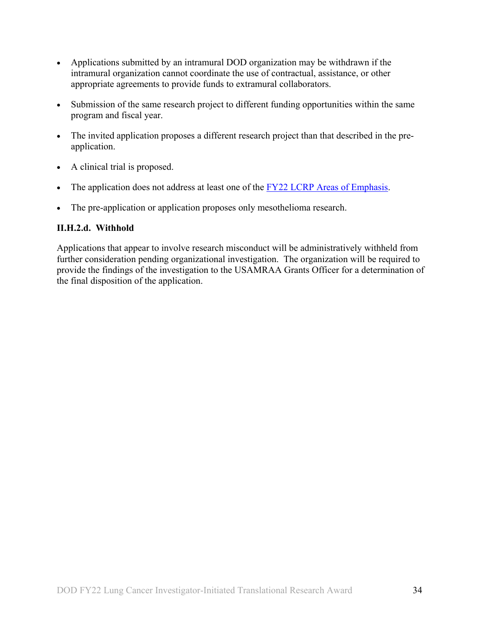- Applications submitted by an intramural DOD organization may be withdrawn if the intramural organization cannot coordinate the use of contractual, assistance, or other appropriate agreements to provide funds to extramural collaborators.
- Submission of the same research project to different funding opportunities within the same program and fiscal year.
- The invited application proposes a different research project than that described in the preapplication.
- A clinical trial is proposed.
- The application does not address at least one of the [FY22 LCRP Areas of Emphasis.](#page-2-3)
- The pre-application or application proposes only mesothelioma research.

### **II.H.2.d. Withhold**

Applications that appear to involve research misconduct will be administratively withheld from further consideration pending organizational investigation. The organization will be required to provide the findings of the investigation to the USAMRAA Grants Officer for a determination of the final disposition of the application.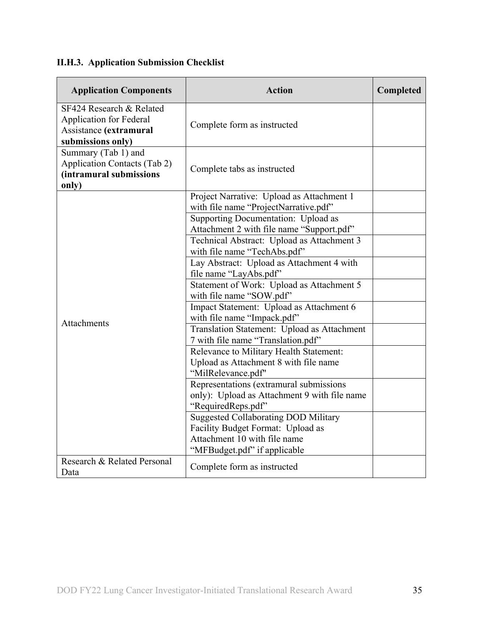# <span id="page-34-0"></span>**II.H.3. Application Submission Checklist**

| <b>Application Components</b>                                                                             | <b>Action</b>                                                                                                                                    | Completed |
|-----------------------------------------------------------------------------------------------------------|--------------------------------------------------------------------------------------------------------------------------------------------------|-----------|
| SF424 Research & Related<br><b>Application for Federal</b><br>Assistance (extramural<br>submissions only) | Complete form as instructed                                                                                                                      |           |
| Summary (Tab 1) and<br><b>Application Contacts (Tab 2)</b><br>(intramural submissions<br>only)            | Complete tabs as instructed                                                                                                                      |           |
|                                                                                                           | Project Narrative: Upload as Attachment 1<br>with file name "ProjectNarrative.pdf"                                                               |           |
|                                                                                                           | Supporting Documentation: Upload as<br>Attachment 2 with file name "Support.pdf"                                                                 |           |
|                                                                                                           | Technical Abstract: Upload as Attachment 3<br>with file name "TechAbs.pdf"                                                                       |           |
|                                                                                                           | Lay Abstract: Upload as Attachment 4 with<br>file name "LayAbs.pdf"                                                                              |           |
|                                                                                                           | Statement of Work: Upload as Attachment 5<br>with file name "SOW.pdf"                                                                            |           |
| <b>Attachments</b>                                                                                        | Impact Statement: Upload as Attachment 6<br>with file name "Impack.pdf"                                                                          |           |
|                                                                                                           | Translation Statement: Upload as Attachment<br>7 with file name "Translation.pdf"                                                                |           |
|                                                                                                           | Relevance to Military Health Statement:<br>Upload as Attachment 8 with file name<br>"MilRelevance.pdf"                                           |           |
|                                                                                                           | Representations (extramural submissions<br>only): Upload as Attachment 9 with file name<br>"RequiredReps.pdf"                                    |           |
|                                                                                                           | <b>Suggested Collaborating DOD Military</b><br>Facility Budget Format: Upload as<br>Attachment 10 with file name<br>"MFBudget.pdf" if applicable |           |
| Research & Related Personal<br>Data                                                                       | Complete form as instructed                                                                                                                      |           |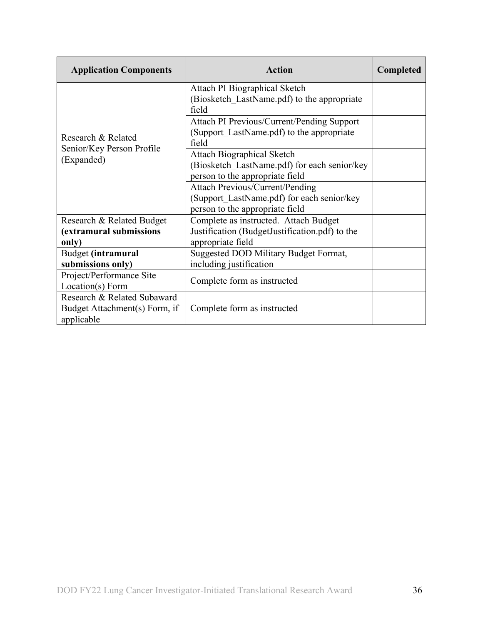| <b>Application Components</b>                                              | <b>Action</b>                                                                                                           | <b>Completed</b> |
|----------------------------------------------------------------------------|-------------------------------------------------------------------------------------------------------------------------|------------------|
|                                                                            | Attach PI Biographical Sketch<br>(Biosketch LastName.pdf) to the appropriate<br>field                                   |                  |
| Research & Related                                                         | Attach PI Previous/Current/Pending Support<br>(Support LastName.pdf) to the appropriate<br>field                        |                  |
| Senior/Key Person Profile<br>(Expanded)                                    | <b>Attach Biographical Sketch</b><br>(Biosketch LastName.pdf) for each senior/key<br>person to the appropriate field    |                  |
|                                                                            | <b>Attach Previous/Current/Pending</b><br>(Support LastName.pdf) for each senior/key<br>person to the appropriate field |                  |
| Research & Related Budget<br>(extramural submissions<br>only)              | Complete as instructed. Attach Budget<br>Justification (BudgetJustification.pdf) to the<br>appropriate field            |                  |
| Budget (intramural<br>submissions only)                                    | Suggested DOD Military Budget Format,<br>including justification                                                        |                  |
| Project/Performance Site<br>Location(s) Form                               | Complete form as instructed                                                                                             |                  |
| Research & Related Subaward<br>Budget Attachment(s) Form, if<br>applicable | Complete form as instructed                                                                                             |                  |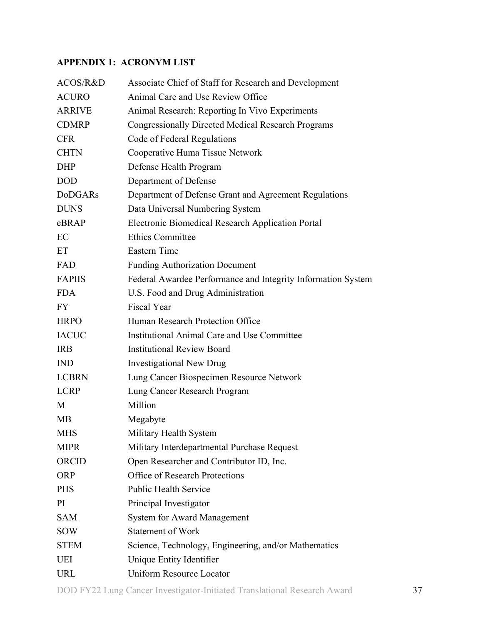## <span id="page-36-0"></span>**APPENDIX 1: ACRONYM LIST**

| ACOS/R&D       | Associate Chief of Staff for Research and Development        |
|----------------|--------------------------------------------------------------|
| <b>ACURO</b>   | Animal Care and Use Review Office                            |
| <b>ARRIVE</b>  | Animal Research: Reporting In Vivo Experiments               |
| <b>CDMRP</b>   | <b>Congressionally Directed Medical Research Programs</b>    |
| <b>CFR</b>     | Code of Federal Regulations                                  |
| <b>CHTN</b>    | Cooperative Huma Tissue Network                              |
| <b>DHP</b>     | Defense Health Program                                       |
| <b>DOD</b>     | Department of Defense                                        |
| <b>DoDGARs</b> | Department of Defense Grant and Agreement Regulations        |
| <b>DUNS</b>    | Data Universal Numbering System                              |
| eBRAP          | Electronic Biomedical Research Application Portal            |
| EC             | <b>Ethics Committee</b>                                      |
| ET             | <b>Eastern Time</b>                                          |
| FAD            | <b>Funding Authorization Document</b>                        |
| <b>FAPIIS</b>  | Federal Awardee Performance and Integrity Information System |
| <b>FDA</b>     | U.S. Food and Drug Administration                            |
| FY.            | <b>Fiscal Year</b>                                           |
| <b>HRPO</b>    | Human Research Protection Office                             |
| <b>IACUC</b>   | Institutional Animal Care and Use Committee                  |
| <b>IRB</b>     | <b>Institutional Review Board</b>                            |
| <b>IND</b>     | <b>Investigational New Drug</b>                              |
| <b>LCBRN</b>   | Lung Cancer Biospecimen Resource Network                     |
| <b>LCRP</b>    | Lung Cancer Research Program                                 |
| M              | Million                                                      |
| <b>MB</b>      | Megabyte                                                     |
| MHS            | Military Health System                                       |
| <b>MIPR</b>    | Military Interdepartmental Purchase Request                  |
| ORCID          | Open Researcher and Contributor ID, Inc.                     |
| <b>ORP</b>     | <b>Office of Research Protections</b>                        |
| <b>PHS</b>     | <b>Public Health Service</b>                                 |
| PI             | Principal Investigator                                       |
| <b>SAM</b>     | <b>System for Award Management</b>                           |
| <b>SOW</b>     | <b>Statement of Work</b>                                     |
| <b>STEM</b>    | Science, Technology, Engineering, and/or Mathematics         |
| UEI            | Unique Entity Identifier                                     |
| <b>URL</b>     | <b>Uniform Resource Locator</b>                              |